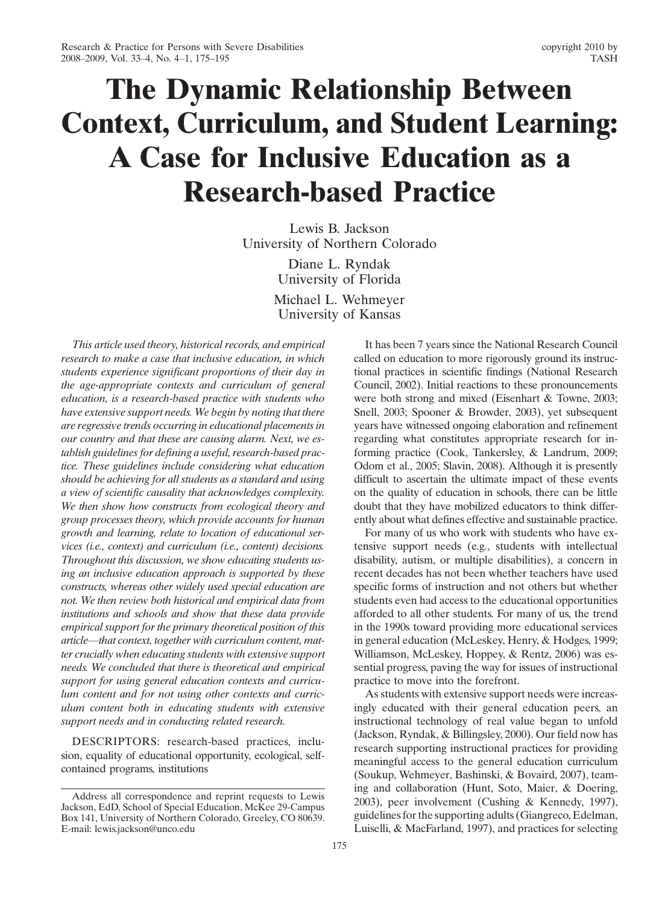# The Dynamic Relationship Between **Context, Curriculum, and Student Learning: A Case for Inclusive Education as a Research-based Practice**

Lewis B. Jackson University of Northern Colorado

> Diane L. Ryndak University of Florida

Michael L. Wehmeyer University of Kansas

This article used theory, historical records, and empirical research to make a case that inclusive education, in which students experience significant proportions of their day in the age-appropriate contexts and curriculum of general education, is a research-based practice with students who have extensive support needs. We begin by noting that there are regressive trends occurring in educational placements in our country and that these are causing alarm. Next, we establish guidelines for defining a useful, research-based practice. These guidelines include considering what education should be achieving for all students as a standard and using a view of scientific causality that acknowledges complexity. We then show how constructs from ecological theory and group processes theory, which provide accounts for human growth and learning, relate to location of educational services (i.e., context) and curriculum (i.e., content) decisions. Throughout this discussion, we show educating students using an inclusive education approach is supported by these constructs, whereas other widely used special education are not. We then review both historical and empirical data from institutions and schools and show that these data provide empirical support for the primary theoretical position of this article-that context, together with curriculum content, matter crucially when educating students with extensive support needs. We concluded that there is theoretical and empirical support for using general education contexts and curriculum content and for not using other contexts and curriculum content both in educating students with extensive support needs and in conducting related research.

DESCRIPTORS: research-based practices, inclusion, equality of educational opportunity, ecological, selfcontained programs, institutions

It has been 7 years since the National Research Council called on education to more rigorously ground its instructional practices in scientific findings (National Research Council, 2002). Initial reactions to these pronouncements were both strong and mixed (Eisenhart & Towne, 2003; Snell, 2003; Spooner & Browder, 2003), yet subsequent years have witnessed ongoing elaboration and refinement regarding what constitutes appropriate research for informing practice (Cook, Tankersley, & Landrum, 2009; Odom et al., 2005; Slavin, 2008). Although it is presently difficult to ascertain the ultimate impact of these events on the quality of education in schools, there can be little doubt that they have mobilized educators to think differently about what defines effective and sustainable practice.

For many of us who work with students who have extensive support needs (e.g., students with intellectual disability, autism, or multiple disabilities), a concern in recent decades has not been whether teachers have used specific forms of instruction and not others but whether students even had access to the educational opportunities afforded to all other students. For many of us, the trend in the 1990s toward providing more educational services in general education (McLeskey, Henry, & Hodges, 1999; Williamson, McLeskey, Hoppey, & Rentz, 2006) was essential progress, paving the way for issues of instructional practice to move into the forefront.

As students with extensive support needs were increasingly educated with their general education peers, an instructional technology of real value began to unfold (Jackson, Ryndak, & Billingsley, 2000). Our field now has research supporting instructional practices for providing meaningful access to the general education curriculum (Soukup, Wehmeyer, Bashinski, & Bovaird, 2007), teaming and collaboration (Hunt, Soto, Maier, & Doering, 2003), peer involvement (Cushing & Kennedy, 1997), guidelines for the supporting adults (Giangreco, Edelman, Luiselli, & MacFarland, 1997), and practices for selecting

Address all correspondence and reprint requests to Lewis Jackson, EdD, School of Special Education, McKee 29-Campus Box 141, University of Northern Colorado, Greeley, CO 80639. E-mail: lewis.jackson@unco.edu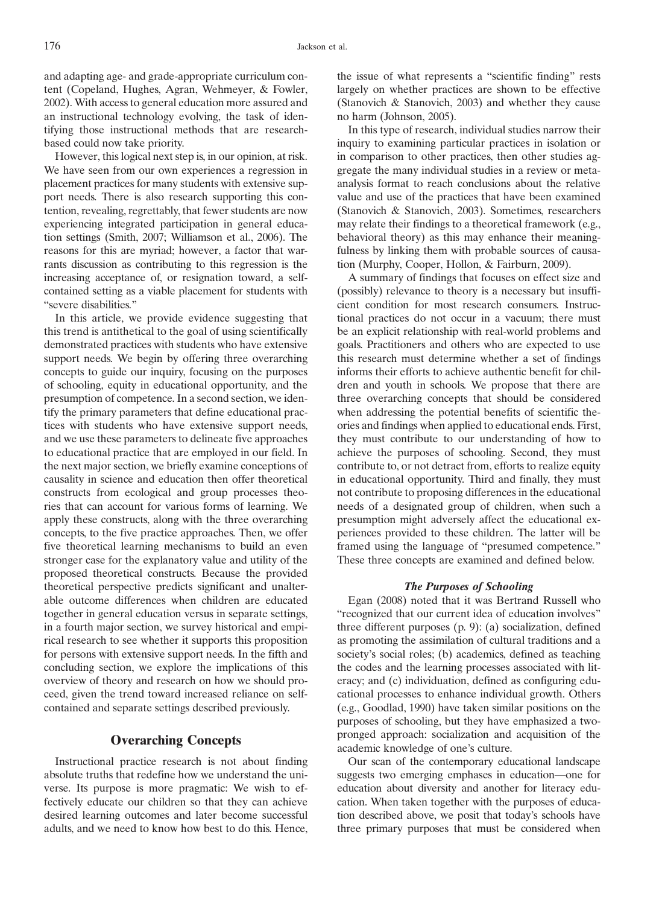and adapting age- and grade-appropriate curriculum content (Copeland, Hughes, Agran, Wehmeyer, & Fowler, 2002). With access to general education more assured and an instructional technology evolving, the task of identifying those instructional methods that are researchbased could now take priority.

However, this logical next step is, in our opinion, at risk. We have seen from our own experiences a regression in placement practices for many students with extensive support needs. There is also research supporting this contention, revealing, regrettably, that fewer students are now experiencing integrated participation in general education settings (Smith, 2007; Williamson et al., 2006). The reasons for this are myriad; however, a factor that warrants discussion as contributing to this regression is the increasing acceptance of, or resignation toward, a selfcontained setting as a viable placement for students with "severe disabilities."

In this article, we provide evidence suggesting that this trend is antithetical to the goal of using scientifically demonstrated practices with students who have extensive support needs. We begin by offering three overarching concepts to guide our inquiry, focusing on the purposes of schooling, equity in educational opportunity, and the presumption of competence. In a second section, we identify the primary parameters that define educational practices with students who have extensive support needs, and we use these parameters to delineate five approaches to educational practice that are employed in our field. In the next major section, we briefly examine conceptions of causality in science and education then offer theoretical constructs from ecological and group processes theories that can account for various forms of learning. We apply these constructs, along with the three overarching concepts, to the five practice approaches. Then, we offer five theoretical learning mechanisms to build an even stronger case for the explanatory value and utility of the proposed theoretical constructs. Because the provided theoretical perspective predicts significant and unalterable outcome differences when children are educated together in general education versus in separate settings, in a fourth major section, we survey historical and empirical research to see whether it supports this proposition for persons with extensive support needs. In the fifth and concluding section, we explore the implications of this overview of theory and research on how we should proceed, given the trend toward increased reliance on selfcontained and separate settings described previously.

## **Overarching Concepts**

Instructional practice research is not about finding absolute truths that redefine how we understand the universe. Its purpose is more pragmatic: We wish to effectively educate our children so that they can achieve desired learning outcomes and later become successful adults, and we need to know how best to do this. Hence, the issue of what represents a "scientific finding" rests largely on whether practices are shown to be effective (Stanovich & Stanovich, 2003) and whether they cause no harm (Johnson, 2005).

In this type of research, individual studies narrow their inquiry to examining particular practices in isolation or in comparison to other practices, then other studies aggregate the many individual studies in a review or metaanalysis format to reach conclusions about the relative value and use of the practices that have been examined (Stanovich & Stanovich, 2003). Sometimes, researchers may relate their findings to a theoretical framework (e.g., behavioral theory) as this may enhance their meaningfulness by linking them with probable sources of causation (Murphy, Cooper, Hollon, & Fairburn, 2009).

A summary of findings that focuses on effect size and (possibly) relevance to theory is a necessary but insufficient condition for most research consumers. Instructional practices do not occur in a vacuum: there must be an explicit relationship with real-world problems and goals. Practitioners and others who are expected to use this research must determine whether a set of findings informs their efforts to achieve authentic benefit for children and youth in schools. We propose that there are three overarching concepts that should be considered when addressing the potential benefits of scientific theories and findings when applied to educational ends. First, they must contribute to our understanding of how to achieve the purposes of schooling. Second, they must contribute to, or not detract from, efforts to realize equity in educational opportunity. Third and finally, they must not contribute to proposing differences in the educational needs of a designated group of children, when such a presumption might adversely affect the educational experiences provided to these children. The latter will be framed using the language of "presumed competence." These three concepts are examined and defined below.

#### The Purposes of Schooling

Egan (2008) noted that it was Bertrand Russell who "recognized that our current idea of education involves" three different purposes  $(p, 9)$ : (a) socialization, defined as promoting the assimilation of cultural traditions and a society's social roles; (b) academics, defined as teaching the codes and the learning processes associated with literacy; and (c) individuation, defined as configuring educational processes to enhance individual growth. Others (e.g., Goodlad, 1990) have taken similar positions on the purposes of schooling, but they have emphasized a twopronged approach: socialization and acquisition of the academic knowledge of one's culture.

Our scan of the contemporary educational landscape suggests two emerging emphases in education—one for education about diversity and another for literacy education. When taken together with the purposes of education described above, we posit that today's schools have three primary purposes that must be considered when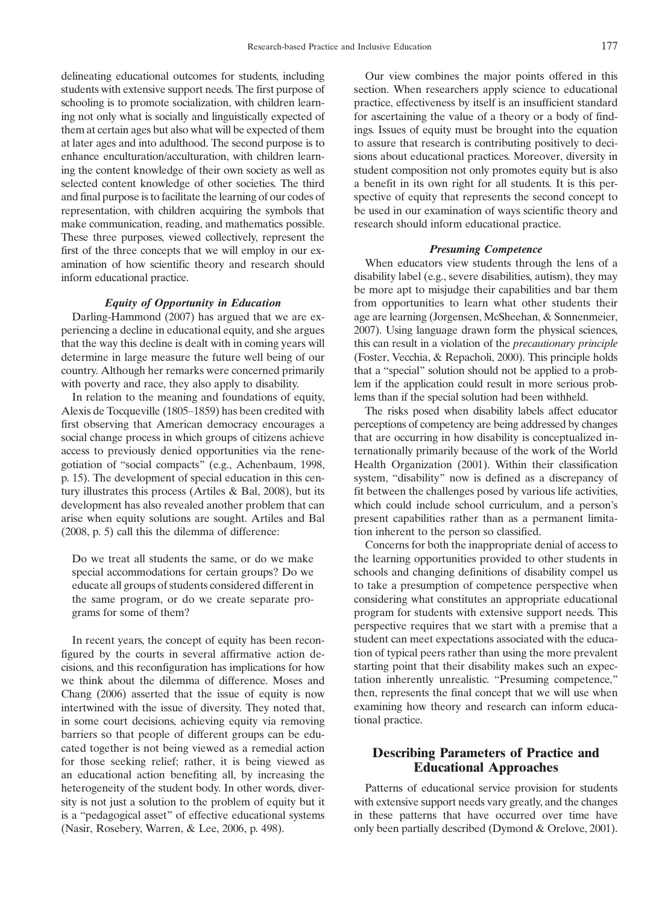delineating educational outcomes for students, including students with extensive support needs. The first purpose of schooling is to promote socialization, with children learning not only what is socially and linguistically expected of them at certain ages but also what will be expected of them at later ages and into adulthood. The second purpose is to enhance enculturation/acculturation, with children learning the content knowledge of their own society as well as selected content knowledge of other societies. The third and final purpose is to facilitate the learning of our codes of representation, with children acquiring the symbols that make communication, reading, and mathematics possible. These three purposes, viewed collectively, represent the first of the three concepts that we will employ in our examination of how scientific theory and research should inform educational practice.

#### **Equity of Opportunity in Education**

Darling-Hammond (2007) has argued that we are experiencing a decline in educational equity, and she argues that the way this decline is dealt with in coming years will determine in large measure the future well being of our country. Although her remarks were concerned primarily with poverty and race, they also apply to disability.

In relation to the meaning and foundations of equity, Alexis de Tocqueville (1805–1859) has been credited with first observing that American democracy encourages a social change process in which groups of citizens achieve access to previously denied opportunities via the renegotiation of "social compacts" (e.g., Achenbaum, 1998, p. 15). The development of special education in this century illustrates this process (Artiles  $\&$  Bal, 2008), but its development has also revealed another problem that can arise when equity solutions are sought. Artiles and Bal (2008, p. 5) call this the dilemma of difference:

Do we treat all students the same, or do we make special accommodations for certain groups? Do we educate all groups of students considered different in the same program, or do we create separate programs for some of them?

In recent years, the concept of equity has been reconfigured by the courts in several affirmative action decisions, and this reconfiguration has implications for how we think about the dilemma of difference. Moses and Chang (2006) asserted that the issue of equity is now intertwined with the issue of diversity. They noted that, in some court decisions, achieving equity via removing barriers so that people of different groups can be educated together is not being viewed as a remedial action for those seeking relief; rather, it is being viewed as an educational action benefiting all, by increasing the heterogeneity of the student body. In other words, diversity is not just a solution to the problem of equity but it is a "pedagogical asset" of effective educational systems (Nasir, Rosebery, Warren, & Lee, 2006, p. 498).

Our view combines the major points offered in this section. When researchers apply science to educational practice, effectiveness by itself is an insufficient standard for ascertaining the value of a theory or a body of findings. Issues of equity must be brought into the equation to assure that research is contributing positively to decisions about educational practices. Moreover, diversity in student composition not only promotes equity but is also a benefit in its own right for all students. It is this perspective of equity that represents the second concept to be used in our examination of ways scientific theory and research should inform educational practice.

#### **Presuming Competence**

When educators view students through the lens of a disability label (e.g., severe disabilities, autism), they may be more apt to misjudge their capabilities and bar them from opportunities to learn what other students their age are learning (Jorgensen, McSheehan, & Sonnenmeier, 2007). Using language drawn form the physical sciences, this can result in a violation of the *precautionary principle* (Foster, Vecchia, & Repacholi, 2000). This principle holds that a "special" solution should not be applied to a problem if the application could result in more serious problems than if the special solution had been withheld.

The risks posed when disability labels affect educator perceptions of competency are being addressed by changes that are occurring in how disability is conceptualized internationally primarily because of the work of the World Health Organization (2001). Within their classification system, "disability" now is defined as a discrepancy of fit between the challenges posed by various life activities, which could include school curriculum, and a person's present capabilities rather than as a permanent limitation inherent to the person so classified.

Concerns for both the inappropriate denial of access to the learning opportunities provided to other students in schools and changing definitions of disability compel us to take a presumption of competence perspective when considering what constitutes an appropriate educational program for students with extensive support needs. This perspective requires that we start with a premise that a student can meet expectations associated with the education of typical peers rather than using the more prevalent starting point that their disability makes such an expectation inherently unrealistic. "Presuming competence," then, represents the final concept that we will use when examining how theory and research can inform educational practice.

# **Describing Parameters of Practice and Educational Approaches**

Patterns of educational service provision for students with extensive support needs vary greatly, and the changes in these patterns that have occurred over time have only been partially described (Dymond & Orelove, 2001).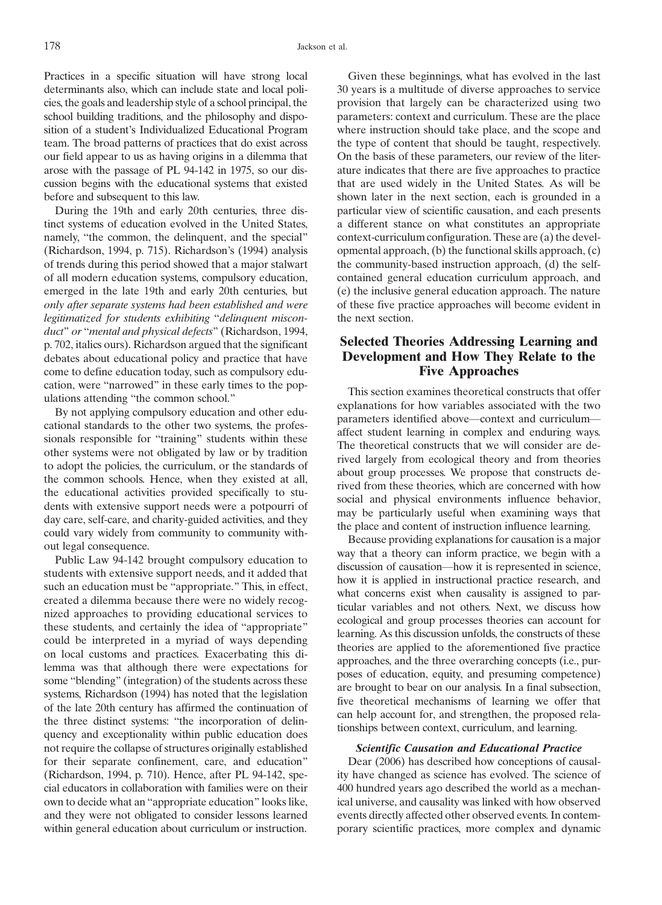Practices in a specific situation will have strong local determinants also, which can include state and local policies, the goals and leadership style of a school principal, the school building traditions, and the philosophy and disposition of a student's Individualized Educational Program team. The broad patterns of practices that do exist across our field appear to us as having origins in a dilemma that arose with the passage of PL 94-142 in 1975, so our discussion begins with the educational systems that existed before and subsequent to this law.

During the 19th and early 20th centuries, three distinct systems of education evolved in the United States, namely, "the common, the delinquent, and the special" (Richardson, 1994, p. 715). Richardson's (1994) analysis of trends during this period showed that a major stalwart of all modern education systems, compulsory education, emerged in the late 19th and early 20th centuries, but only after separate systems had been established and were legitimatized for students exhibiting "delinquent misconduct" or "mental and physical defects" (Richardson, 1994, p. 702, italics ours). Richardson argued that the significant debates about educational policy and practice that have come to define education today, such as compulsory education, were "narrowed" in these early times to the populations attending "the common school."

By not applying compulsory education and other educational standards to the other two systems, the professionals responsible for "training" students within these other systems were not obligated by law or by tradition to adopt the policies, the curriculum, or the standards of the common schools. Hence, when they existed at all, the educational activities provided specifically to students with extensive support needs were a potpourri of day care, self-care, and charity-guided activities, and they could vary widely from community to community without legal consequence.

Public Law 94-142 brought compulsory education to students with extensive support needs, and it added that such an education must be "appropriate." This, in effect, created a dilemma because there were no widely recognized approaches to providing educational services to these students, and certainly the idea of "appropriate" could be interpreted in a myriad of ways depending on local customs and practices. Exacerbating this dilemma was that although there were expectations for some "blending" (integration) of the students across these systems, Richardson (1994) has noted that the legislation of the late 20th century has affirmed the continuation of the three distinct systems: "the incorporation of delinquency and exceptionality within public education does not require the collapse of structures originally established for their separate confinement, care, and education" (Richardson, 1994, p. 710). Hence, after PL 94-142, special educators in collaboration with families were on their own to decide what an "appropriate education" looks like, and they were not obligated to consider lessons learned within general education about curriculum or instruction.

Given these beginnings, what has evolved in the last 30 years is a multitude of diverse approaches to service provision that largely can be characterized using two parameters: context and curriculum. These are the place where instruction should take place, and the scope and the type of content that should be taught, respectively. On the basis of these parameters, our review of the literature indicates that there are five approaches to practice that are used widely in the United States. As will be shown later in the next section, each is grounded in a particular view of scientific causation, and each presents a different stance on what constitutes an appropriate context-curriculum configuration. These are (a) the developmental approach, (b) the functional skills approach, (c) the community-based instruction approach, (d) the selfcontained general education curriculum approach, and (e) the inclusive general education approach. The nature of these five practice approaches will become evident in the next section.

# **Selected Theories Addressing Learning and** Development and How They Relate to the **Five Approaches**

This section examines theoretical constructs that offer explanations for how variables associated with the two parameters identified above—context and curriculum affect student learning in complex and enduring ways. The theoretical constructs that we will consider are derived largely from ecological theory and from theories about group processes. We propose that constructs derived from these theories, which are concerned with how social and physical environments influence behavior, may be particularly useful when examining ways that the place and content of instruction influence learning.

Because providing explanations for causation is a major way that a theory can inform practice, we begin with a discussion of causation-how it is represented in science, how it is applied in instructional practice research, and what concerns exist when causality is assigned to particular variables and not others. Next, we discuss how ecological and group processes theories can account for learning. As this discussion unfolds, the constructs of these theories are applied to the aforementioned five practice approaches, and the three overarching concepts (i.e., purposes of education, equity, and presuming competence) are brought to bear on our analysis. In a final subsection, five theoretical mechanisms of learning we offer that can help account for, and strengthen, the proposed relationships between context, curriculum, and learning.

## **Scientific Causation and Educational Practice**

Dear (2006) has described how conceptions of causality have changed as science has evolved. The science of 400 hundred years ago described the world as a mechanical universe, and causality was linked with how observed events directly affected other observed events. In contemporary scientific practices, more complex and dynamic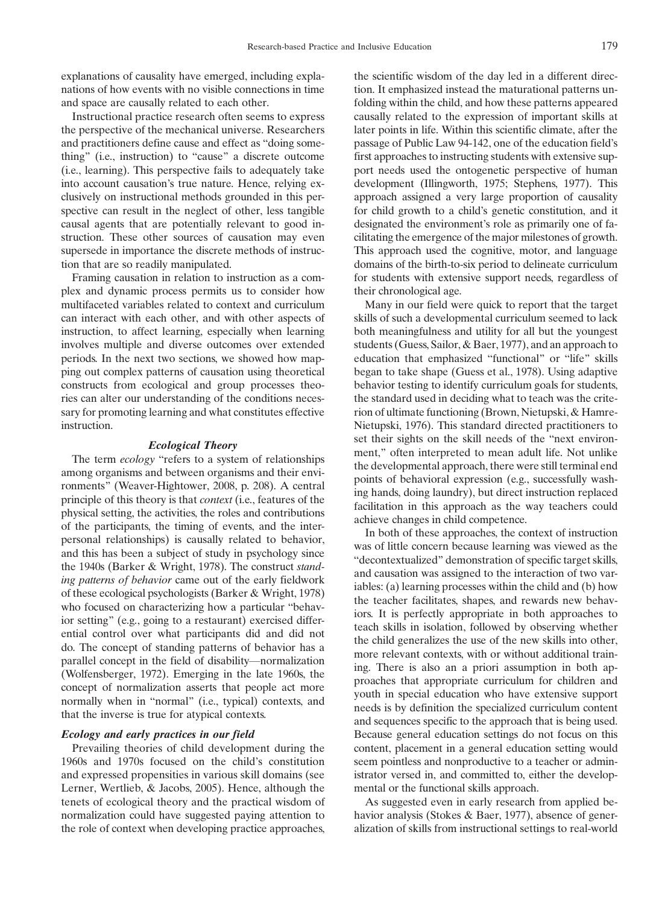explanations of causality have emerged, including explanations of how events with no visible connections in time and space are causally related to each other.

Instructional practice research often seems to express the perspective of the mechanical universe. Researchers and practitioners define cause and effect as "doing something" (i.e., instruction) to "cause" a discrete outcome (i.e., learning). This perspective fails to adequately take into account causation's true nature. Hence, relying exclusively on instructional methods grounded in this perspective can result in the neglect of other, less tangible causal agents that are potentially relevant to good instruction. These other sources of causation may even supersede in importance the discrete methods of instruction that are so readily manipulated.

Framing causation in relation to instruction as a complex and dynamic process permits us to consider how multifaceted variables related to context and curriculum can interact with each other, and with other aspects of instruction, to affect learning, especially when learning involves multiple and diverse outcomes over extended periods. In the next two sections, we showed how mapping out complex patterns of causation using theoretical constructs from ecological and group processes theories can alter our understanding of the conditions necessary for promoting learning and what constitutes effective instruction.

#### **Ecological Theory**

The term *ecology* "refers to a system of relationships among organisms and between organisms and their environments" (Weaver-Hightower, 2008, p. 208). A central principle of this theory is that *context* (i.e., features of the physical setting, the activities, the roles and contributions of the participants, the timing of events, and the interpersonal relationships) is causally related to behavior, and this has been a subject of study in psychology since the 1940s (Barker & Wright, 1978). The construct standing patterns of behavior came out of the early fieldwork of these ecological psychologists (Barker & Wright, 1978) who focused on characterizing how a particular "behavior setting" (e.g., going to a restaurant) exercised differential control over what participants did and did not do. The concept of standing patterns of behavior has a parallel concept in the field of disability-normalization (Wolfensberger, 1972). Emerging in the late 1960s, the concept of normalization asserts that people act more normally when in "normal" (i.e., typical) contexts, and that the inverse is true for atypical contexts.

## Ecology and early practices in our field

Prevailing theories of child development during the 1960s and 1970s focused on the child's constitution and expressed propensities in various skill domains (see Lerner, Wertlieb, & Jacobs, 2005). Hence, although the tenets of ecological theory and the practical wisdom of normalization could have suggested paying attention to the role of context when developing practice approaches, the scientific wisdom of the day led in a different direction. It emphasized instead the maturational patterns unfolding within the child, and how these patterns appeared causally related to the expression of important skills at later points in life. Within this scientific climate, after the passage of Public Law 94-142, one of the education field's first approaches to instructing students with extensive support needs used the ontogenetic perspective of human development (Illingworth, 1975; Stephens, 1977). This approach assigned a very large proportion of causality for child growth to a child's genetic constitution, and it designated the environment's role as primarily one of facilitating the emergence of the major milestones of growth. This approach used the cognitive, motor, and language domains of the birth-to-six period to delineate curriculum for students with extensive support needs, regardless of their chronological age.

Many in our field were quick to report that the target skills of such a developmental curriculum seemed to lack both meaningfulness and utility for all but the youngest students (Guess, Sailor, & Baer, 1977), and an approach to education that emphasized "functional" or "life" skills began to take shape (Guess et al., 1978). Using adaptive behavior testing to identify curriculum goals for students, the standard used in deciding what to teach was the criterion of ultimate functioning (Brown, Nietupski, & Hamre-Nietupski, 1976). This standard directed practitioners to set their sights on the skill needs of the "next environment," often interpreted to mean adult life. Not unlike the developmental approach, there were still terminal end points of behavioral expression (e.g., successfully washing hands, doing laundry), but direct instruction replaced facilitation in this approach as the way teachers could achieve changes in child competence.

In both of these approaches, the context of instruction was of little concern because learning was viewed as the "decontextualized" demonstration of specific target skills, and causation was assigned to the interaction of two variables: (a) learning processes within the child and (b) how the teacher facilitates, shapes, and rewards new behaviors. It is perfectly appropriate in both approaches to teach skills in isolation, followed by observing whether the child generalizes the use of the new skills into other, more relevant contexts, with or without additional training. There is also an a priori assumption in both approaches that appropriate curriculum for children and youth in special education who have extensive support needs is by definition the specialized curriculum content and sequences specific to the approach that is being used. Because general education settings do not focus on this content, placement in a general education setting would seem pointless and nonproductive to a teacher or administrator versed in, and committed to, either the developmental or the functional skills approach.

As suggested even in early research from applied behavior analysis (Stokes & Baer, 1977), absence of generalization of skills from instructional settings to real-world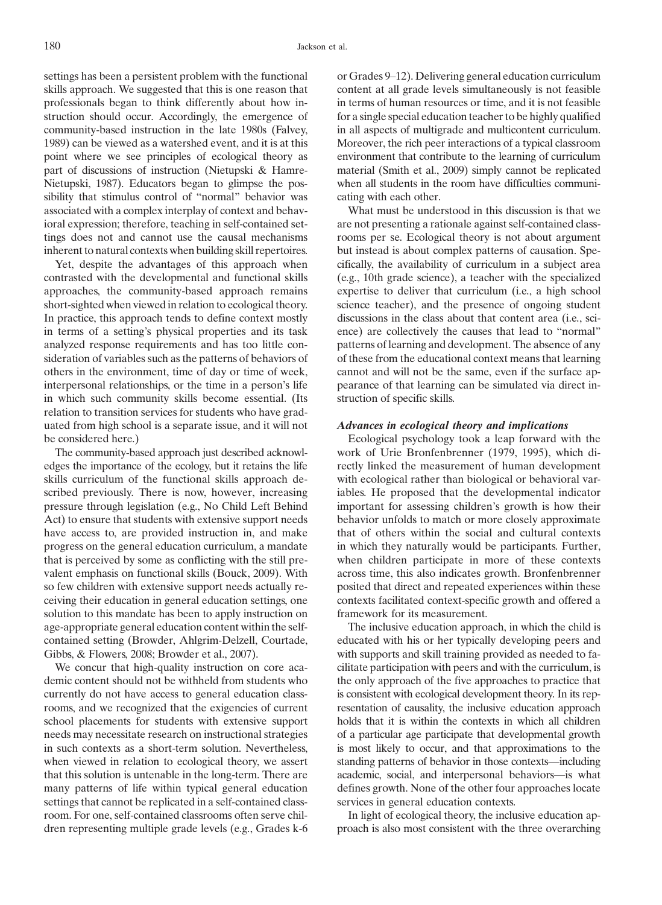settings has been a persistent problem with the functional skills approach. We suggested that this is one reason that professionals began to think differently about how instruction should occur. Accordingly, the emergence of community-based instruction in the late 1980s (Falvey, 1989) can be viewed as a watershed event, and it is at this point where we see principles of ecological theory as part of discussions of instruction (Nietupski & Hamre-Nietupski, 1987). Educators began to glimpse the possibility that stimulus control of "normal" behavior was associated with a complex interplay of context and behavioral expression; therefore, teaching in self-contained settings does not and cannot use the causal mechanisms inherent to natural contexts when building skill repertoires.

Yet, despite the advantages of this approach when contrasted with the developmental and functional skills approaches, the community-based approach remains short-sighted when viewed in relation to ecological theory. In practice, this approach tends to define context mostly in terms of a setting's physical properties and its task analyzed response requirements and has too little consideration of variables such as the patterns of behaviors of others in the environment, time of day or time of week, interpersonal relationships, or the time in a person's life in which such community skills become essential. (Its relation to transition services for students who have graduated from high school is a separate issue, and it will not be considered here.)

The community-based approach just described acknowledges the importance of the ecology, but it retains the life skills curriculum of the functional skills approach described previously. There is now, however, increasing pressure through legislation (e.g., No Child Left Behind Act) to ensure that students with extensive support needs have access to, are provided instruction in, and make progress on the general education curriculum, a mandate that is perceived by some as conflicting with the still prevalent emphasis on functional skills (Bouck, 2009). With so few children with extensive support needs actually receiving their education in general education settings, one solution to this mandate has been to apply instruction on age-appropriate general education content within the selfcontained setting (Browder, Ahlgrim-Delzell, Courtade, Gibbs, & Flowers, 2008; Browder et al., 2007).

We concur that high-quality instruction on core academic content should not be withheld from students who currently do not have access to general education classrooms, and we recognized that the exigencies of current school placements for students with extensive support needs may necessitate research on instructional strategies in such contexts as a short-term solution. Nevertheless, when viewed in relation to ecological theory, we assert that this solution is untenable in the long-term. There are many patterns of life within typical general education settings that cannot be replicated in a self-contained classroom. For one, self-contained classrooms often serve children representing multiple grade levels (e.g., Grades k-6)

or Grades 9-12). Delivering general education curriculum content at all grade levels simultaneously is not feasible in terms of human resources or time, and it is not feasible for a single special education teacher to be highly qualified in all aspects of multigrade and multicontent curriculum. Moreover, the rich peer interactions of a typical classroom environment that contribute to the learning of curriculum material (Smith et al., 2009) simply cannot be replicated when all students in the room have difficulties communicating with each other.

What must be understood in this discussion is that we are not presenting a rationale against self-contained classrooms per se. Ecological theory is not about argument but instead is about complex patterns of causation. Specifically, the availability of curriculum in a subject area (e.g., 10th grade science), a teacher with the specialized expertise to deliver that curriculum (i.e., a high school science teacher), and the presence of ongoing student discussions in the class about that content area (i.e., science) are collectively the causes that lead to "normal" patterns of learning and development. The absence of any of these from the educational context means that learning cannot and will not be the same, even if the surface appearance of that learning can be simulated via direct instruction of specific skills.

#### Advances in ecological theory and implications

Ecological psychology took a leap forward with the work of Urie Bronfenbrenner (1979, 1995), which directly linked the measurement of human development with ecological rather than biological or behavioral variables. He proposed that the developmental indicator important for assessing children's growth is how their behavior unfolds to match or more closely approximate that of others within the social and cultural contexts in which they naturally would be participants. Further, when children participate in more of these contexts across time, this also indicates growth. Bronfenbrenner posited that direct and repeated experiences within these contexts facilitated context-specific growth and offered a framework for its measurement.

The inclusive education approach, in which the child is educated with his or her typically developing peers and with supports and skill training provided as needed to facilitate participation with peers and with the curriculum, is the only approach of the five approaches to practice that is consistent with ecological development theory. In its representation of causality, the inclusive education approach holds that it is within the contexts in which all children of a particular age participate that developmental growth is most likely to occur, and that approximations to the standing patterns of behavior in those contexts—including academic, social, and interpersonal behaviors-is what defines growth. None of the other four approaches locate services in general education contexts.

In light of ecological theory, the inclusive education approach is also most consistent with the three overarching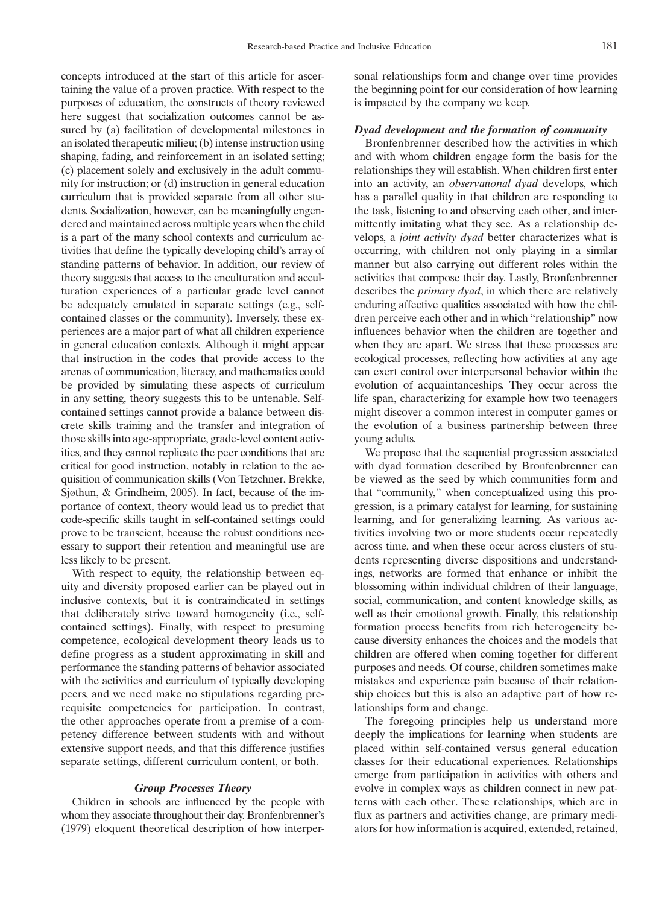concepts introduced at the start of this article for ascertaining the value of a proven practice. With respect to the purposes of education, the constructs of theory reviewed here suggest that socialization outcomes cannot be assured by (a) facilitation of developmental milestones in an isolated therapeutic milieu; (b) intense instruction using shaping, fading, and reinforcement in an isolated setting; (c) placement solely and exclusively in the adult community for instruction; or (d) instruction in general education curriculum that is provided separate from all other students. Socialization, however, can be meaningfully engendered and maintained across multiple years when the child is a part of the many school contexts and curriculum activities that define the typically developing child's array of standing patterns of behavior. In addition, our review of theory suggests that access to the enculturation and acculturation experiences of a particular grade level cannot be adequately emulated in separate settings (e.g., selfcontained classes or the community). Inversely, these experiences are a major part of what all children experience in general education contexts. Although it might appear that instruction in the codes that provide access to the arenas of communication, literacy, and mathematics could be provided by simulating these aspects of curriculum in any setting, theory suggests this to be untenable. Selfcontained settings cannot provide a balance between discrete skills training and the transfer and integration of those skills into age-appropriate, grade-level content activities, and they cannot replicate the peer conditions that are critical for good instruction, notably in relation to the acquisition of communication skills (Von Tetzchner, Brekke, Sjøthun, & Grindheim, 2005). In fact, because of the importance of context, theory would lead us to predict that code-specific skills taught in self-contained settings could prove to be transcient, because the robust conditions necessary to support their retention and meaningful use are less likely to be present.

With respect to equity, the relationship between equity and diversity proposed earlier can be played out in inclusive contexts, but it is contraindicated in settings that deliberately strive toward homogeneity (i.e., selfcontained settings). Finally, with respect to presuming competence, ecological development theory leads us to define progress as a student approximating in skill and performance the standing patterns of behavior associated with the activities and curriculum of typically developing peers, and we need make no stipulations regarding prerequisite competencies for participation. In contrast, the other approaches operate from a premise of a competency difference between students with and without extensive support needs, and that this difference justifies separate settings, different curriculum content, or both.

#### **Group Processes Theory**

Children in schools are influenced by the people with whom they associate throughout their day. Bronfenbrenner's (1979) eloquent theoretical description of how interpersonal relationships form and change over time provides the beginning point for our consideration of how learning is impacted by the company we keep.

#### Dvad development and the formation of community

Bronfenbrenner described how the activities in which and with whom children engage form the basis for the relationships they will establish. When children first enter into an activity, an *observational dyad* develops, which has a parallel quality in that children are responding to the task, listening to and observing each other, and intermittently imitating what they see. As a relationship develops, a joint activity dyad better characterizes what is occurring, with children not only playing in a similar manner but also carrying out different roles within the activities that compose their day. Lastly, Bronfenbrenner describes the *primary dyad*, in which there are relatively enduring affective qualities associated with how the children perceive each other and in which "relationship" now influences behavior when the children are together and when they are apart. We stress that these processes are ecological processes, reflecting how activities at any age can exert control over interpersonal behavior within the evolution of acquaintanceships. They occur across the life span, characterizing for example how two teenagers might discover a common interest in computer games or the evolution of a business partnership between three voung adults.

We propose that the sequential progression associated with dyad formation described by Bronfenbrenner can be viewed as the seed by which communities form and that "community," when conceptualized using this progression, is a primary catalyst for learning, for sustaining learning, and for generalizing learning. As various activities involving two or more students occur repeatedly across time, and when these occur across clusters of students representing diverse dispositions and understandings, networks are formed that enhance or inhibit the blossoming within individual children of their language, social, communication, and content knowledge skills, as well as their emotional growth. Finally, this relationship formation process benefits from rich heterogeneity because diversity enhances the choices and the models that children are offered when coming together for different purposes and needs. Of course, children sometimes make mistakes and experience pain because of their relationship choices but this is also an adaptive part of how relationships form and change.

The foregoing principles help us understand more deeply the implications for learning when students are placed within self-contained versus general education classes for their educational experiences. Relationships emerge from participation in activities with others and evolve in complex ways as children connect in new patterns with each other. These relationships, which are in flux as partners and activities change, are primary mediators for how information is acquired, extended, retained,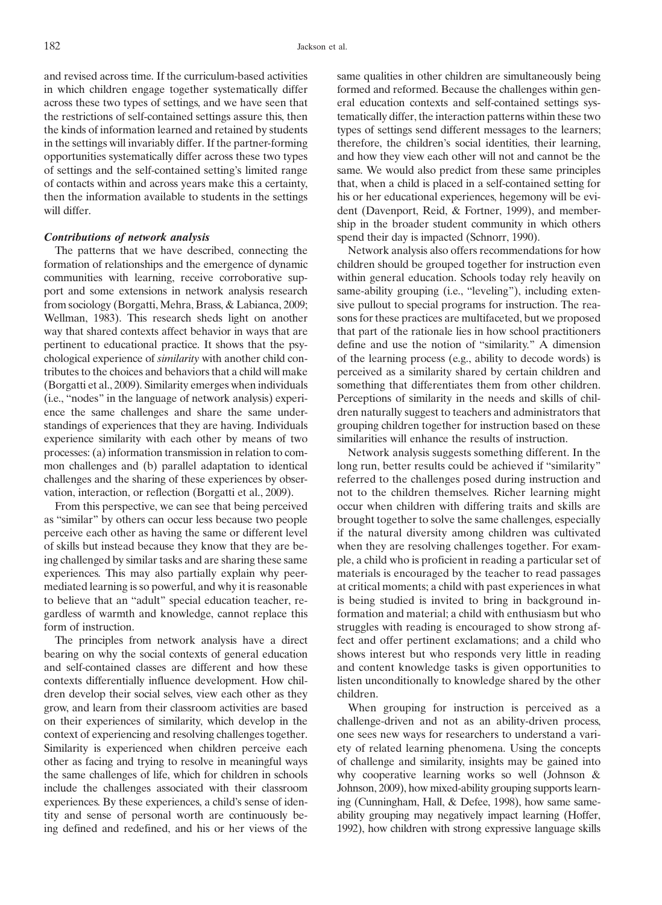and revised across time. If the curriculum-based activities in which children engage together systematically differ across these two types of settings, and we have seen that the restrictions of self-contained settings assure this, then the kinds of information learned and retained by students in the settings will invariably differ. If the partner-forming opportunities systematically differ across these two types of settings and the self-contained setting's limited range of contacts within and across years make this a certainty, then the information available to students in the settings will differ.

#### **Contributions of network analysis**

The patterns that we have described, connecting the formation of relationships and the emergence of dynamic communities with learning, receive corroborative support and some extensions in network analysis research from sociology (Borgatti, Mehra, Brass, & Labianca, 2009; Wellman, 1983). This research sheds light on another way that shared contexts affect behavior in ways that are pertinent to educational practice. It shows that the psychological experience of *similarity* with another child contributes to the choices and behaviors that a child will make (Borgatti et al., 2009). Similarity emerges when individuals (i.e., "nodes" in the language of network analysis) experience the same challenges and share the same understandings of experiences that they are having. Individuals experience similarity with each other by means of two processes: (a) information transmission in relation to common challenges and (b) parallel adaptation to identical challenges and the sharing of these experiences by observation, interaction, or reflection (Borgatti et al., 2009).

From this perspective, we can see that being perceived as "similar" by others can occur less because two people perceive each other as having the same or different level of skills but instead because they know that they are being challenged by similar tasks and are sharing these same experiences. This may also partially explain why peermediated learning is so powerful, and why it is reasonable to believe that an "adult" special education teacher, regardless of warmth and knowledge, cannot replace this form of instruction.

The principles from network analysis have a direct bearing on why the social contexts of general education and self-contained classes are different and how these contexts differentially influence development. How children develop their social selves, view each other as they grow, and learn from their classroom activities are based on their experiences of similarity, which develop in the context of experiencing and resolving challenges together. Similarity is experienced when children perceive each other as facing and trying to resolve in meaningful ways the same challenges of life, which for children in schools include the challenges associated with their classroom experiences. By these experiences, a child's sense of identity and sense of personal worth are continuously being defined and redefined, and his or her views of the

same qualities in other children are simultaneously being formed and reformed. Because the challenges within general education contexts and self-contained settings systematically differ, the interaction patterns within these two types of settings send different messages to the learners; therefore, the children's social identities, their learning, and how they view each other will not and cannot be the same. We would also predict from these same principles that, when a child is placed in a self-contained setting for his or her educational experiences, hegemony will be evident (Davenport, Reid, & Fortner, 1999), and membership in the broader student community in which others spend their day is impacted (Schnorr, 1990).

Network analysis also offers recommendations for how children should be grouped together for instruction even within general education. Schools today rely heavily on same-ability grouping (i.e., "leveling"), including extensive pullout to special programs for instruction. The reasons for these practices are multifaceted, but we proposed that part of the rationale lies in how school practitioners define and use the notion of "similarity." A dimension of the learning process (e.g., ability to decode words) is perceived as a similarity shared by certain children and something that differentiates them from other children. Perceptions of similarity in the needs and skills of children naturally suggest to teachers and administrators that grouping children together for instruction based on these similarities will enhance the results of instruction.

Network analysis suggests something different. In the long run, better results could be achieved if "similarity" referred to the challenges posed during instruction and not to the children themselves. Richer learning might occur when children with differing traits and skills are brought together to solve the same challenges, especially if the natural diversity among children was cultivated when they are resolving challenges together. For example, a child who is proficient in reading a particular set of materials is encouraged by the teacher to read passages at critical moments; a child with past experiences in what is being studied is invited to bring in background information and material; a child with enthusiasm but who struggles with reading is encouraged to show strong affect and offer pertinent exclamations; and a child who shows interest but who responds very little in reading and content knowledge tasks is given opportunities to listen unconditionally to knowledge shared by the other children.

When grouping for instruction is perceived as a challenge-driven and not as an ability-driven process, one sees new ways for researchers to understand a variety of related learning phenomena. Using the concepts of challenge and similarity, insights may be gained into why cooperative learning works so well (Johnson  $\&$ Johnson, 2009), how mixed-ability grouping supports learning (Cunningham, Hall, & Defee, 1998), how same sameability grouping may negatively impact learning (Hoffer, 1992), how children with strong expressive language skills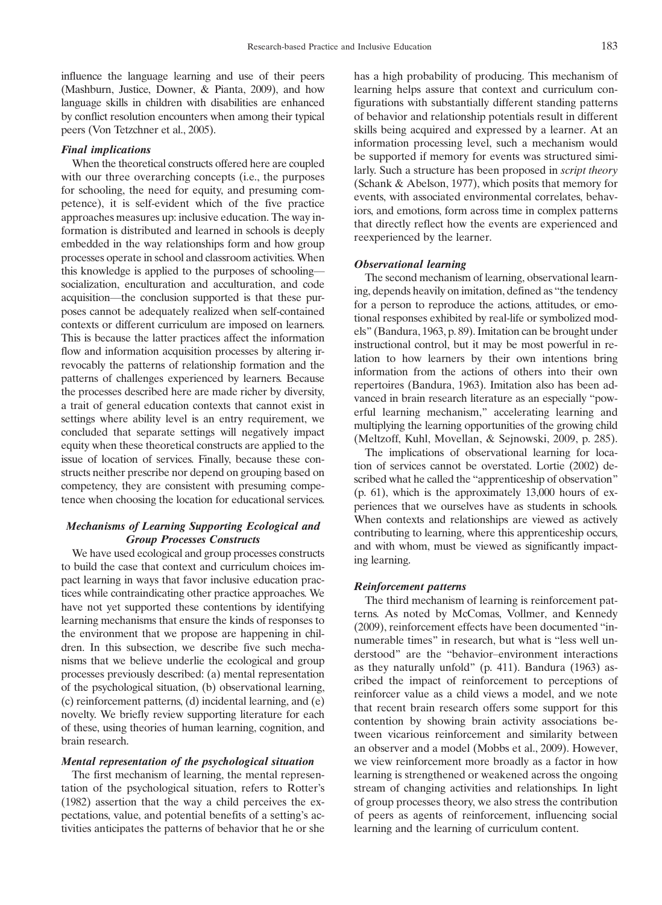influence the language learning and use of their peers (Mashburn, Justice, Downer, & Pianta, 2009), and how language skills in children with disabilities are enhanced by conflict resolution encounters when among their typical peers (Von Tetzchner et al., 2005).

#### **Final implications**

When the theoretical constructs offered here are coupled with our three overarching concepts (i.e., the purposes for schooling, the need for equity, and presuming competence), it is self-evident which of the five practice approaches measures up: inclusive education. The way information is distributed and learned in schools is deeply embedded in the way relationships form and how group processes operate in school and classroom activities. When this knowledge is applied to the purposes of schooling socialization, enculturation and acculturation, and code acquisition—the conclusion supported is that these purposes cannot be adequately realized when self-contained contexts or different curriculum are imposed on learners. This is because the latter practices affect the information flow and information acquisition processes by altering irrevocably the patterns of relationship formation and the patterns of challenges experienced by learners. Because the processes described here are made richer by diversity, a trait of general education contexts that cannot exist in settings where ability level is an entry requirement, we concluded that separate settings will negatively impact equity when these theoretical constructs are applied to the issue of location of services. Finally, because these constructs neither prescribe nor depend on grouping based on competency, they are consistent with presuming competence when choosing the location for educational services.

## **Mechanisms of Learning Supporting Ecological and Group Processes Constructs**

We have used ecological and group processes constructs to build the case that context and curriculum choices impact learning in ways that favor inclusive education practices while contraindicating other practice approaches. We have not yet supported these contentions by identifying learning mechanisms that ensure the kinds of responses to the environment that we propose are happening in children. In this subsection, we describe five such mechanisms that we believe underlie the ecological and group processes previously described: (a) mental representation of the psychological situation, (b) observational learning, (c) reinforcement patterns, (d) incidental learning, and (e) novelty. We briefly review supporting literature for each of these, using theories of human learning, cognition, and brain research.

#### Mental representation of the psychological situation

The first mechanism of learning, the mental representation of the psychological situation, refers to Rotter's (1982) assertion that the way a child perceives the expectations, value, and potential benefits of a setting's activities anticipates the patterns of behavior that he or she has a high probability of producing. This mechanism of learning helps assure that context and curriculum configurations with substantially different standing patterns of behavior and relationship potentials result in different skills being acquired and expressed by a learner. At an information processing level, such a mechanism would be supported if memory for events was structured similarly. Such a structure has been proposed in script theory (Schank & Abelson, 1977), which posits that memory for events, with associated environmental correlates, behaviors, and emotions, form across time in complex patterns that directly reflect how the events are experienced and reexperienced by the learner.

## **Observational learning**

The second mechanism of learning, observational learning, depends heavily on imitation, defined as "the tendency for a person to reproduce the actions, attitudes, or emotional responses exhibited by real-life or symbolized models" (Bandura, 1963, p. 89). Imitation can be brought under instructional control, but it may be most powerful in relation to how learners by their own intentions bring information from the actions of others into their own repertoires (Bandura, 1963). Imitation also has been advanced in brain research literature as an especially "powerful learning mechanism," accelerating learning and multiplying the learning opportunities of the growing child (Meltzoff, Kuhl, Movellan, & Sejnowski, 2009, p. 285).

The implications of observational learning for location of services cannot be overstated. Lortie (2002) described what he called the "apprenticeship of observation"  $(p. 61)$ , which is the approximately 13,000 hours of experiences that we ourselves have as students in schools. When contexts and relationships are viewed as actively contributing to learning, where this apprenticeship occurs, and with whom, must be viewed as significantly impacting learning.

#### **Reinforcement patterns**

The third mechanism of learning is reinforcement patterns. As noted by McComas, Vollmer, and Kennedy (2009), reinforcement effects have been documented "innumerable times" in research, but what is "less well understood" are the "behavior-environment interactions as they naturally unfold" (p. 411). Bandura (1963) ascribed the impact of reinforcement to perceptions of reinforcer value as a child views a model, and we note that recent brain research offers some support for this contention by showing brain activity associations between vicarious reinforcement and similarity between an observer and a model (Mobbs et al., 2009). However, we view reinforcement more broadly as a factor in how learning is strengthened or weakened across the ongoing stream of changing activities and relationships. In light of group processes theory, we also stress the contribution of peers as agents of reinforcement, influencing social learning and the learning of curriculum content.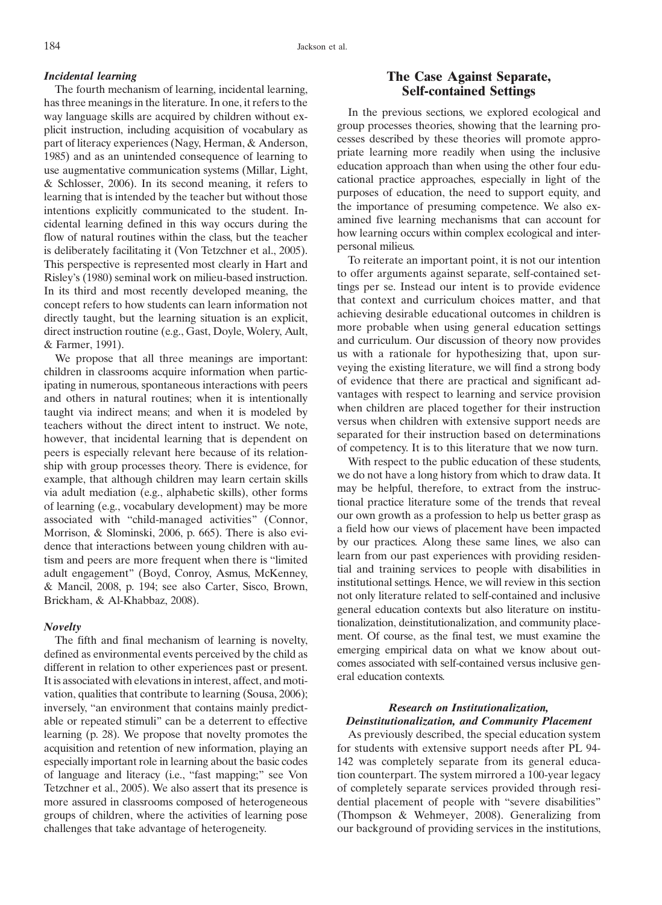## **Incidental learning**

The fourth mechanism of learning, incidental learning, has three meanings in the literature. In one, it refers to the way language skills are acquired by children without explicit instruction, including acquisition of vocabulary as part of literacy experiences (Nagy, Herman, & Anderson, 1985) and as an unintended consequence of learning to use augmentative communication systems (Millar, Light, & Schlosser, 2006). In its second meaning, it refers to learning that is intended by the teacher but without those intentions explicitly communicated to the student. Incidental learning defined in this way occurs during the flow of natural routines within the class, but the teacher is deliberately facilitating it (Von Tetzchner et al., 2005). This perspective is represented most clearly in Hart and Risley's (1980) seminal work on milieu-based instruction. In its third and most recently developed meaning, the concept refers to how students can learn information not directly taught, but the learning situation is an explicit, direct instruction routine (e.g., Gast, Doyle, Wolery, Ault, & Farmer, 1991).

We propose that all three meanings are important: children in classrooms acquire information when participating in numerous, spontaneous interactions with peers and others in natural routines; when it is intentionally taught via indirect means; and when it is modeled by teachers without the direct intent to instruct. We note, however, that incidental learning that is dependent on peers is especially relevant here because of its relationship with group processes theory. There is evidence, for example, that although children may learn certain skills via adult mediation (e.g., alphabetic skills), other forms of learning (e.g., vocabulary development) may be more associated with "child-managed activities" (Connor, Morrison, & Slominski, 2006, p. 665). There is also evidence that interactions between young children with autism and peers are more frequent when there is "limited adult engagement" (Boyd, Conroy, Asmus, McKenney, & Mancil, 2008, p. 194; see also Carter, Sisco, Brown, Brickham, & Al-Khabbaz, 2008).

#### **Novelty**

The fifth and final mechanism of learning is novelty, defined as environmental events perceived by the child as different in relation to other experiences past or present. It is associated with elevations in interest, affect, and motivation, qualities that contribute to learning (Sousa, 2006); inversely, "an environment that contains mainly predictable or repeated stimuli" can be a deterrent to effective learning (p. 28). We propose that novelty promotes the acquisition and retention of new information, playing an especially important role in learning about the basic codes of language and literacy (i.e., "fast mapping;" see Von Tetzchner et al., 2005). We also assert that its presence is more assured in classrooms composed of heterogeneous groups of children, where the activities of learning pose challenges that take advantage of heterogeneity.

# The Case Against Separate, **Self-contained Settings**

In the previous sections, we explored ecological and group processes theories, showing that the learning processes described by these theories will promote appropriate learning more readily when using the inclusive education approach than when using the other four educational practice approaches, especially in light of the purposes of education, the need to support equity, and the importance of presuming competence. We also examined five learning mechanisms that can account for how learning occurs within complex ecological and interpersonal milieus.

To reiterate an important point, it is not our intention to offer arguments against separate, self-contained settings per se. Instead our intent is to provide evidence that context and curriculum choices matter, and that achieving desirable educational outcomes in children is more probable when using general education settings and curriculum. Our discussion of theory now provides us with a rationale for hypothesizing that, upon surveying the existing literature, we will find a strong body of evidence that there are practical and significant advantages with respect to learning and service provision when children are placed together for their instruction versus when children with extensive support needs are separated for their instruction based on determinations of competency. It is to this literature that we now turn.

With respect to the public education of these students, we do not have a long history from which to draw data. It may be helpful, therefore, to extract from the instructional practice literature some of the trends that reveal our own growth as a profession to help us better grasp as a field how our views of placement have been impacted by our practices. Along these same lines, we also can learn from our past experiences with providing residential and training services to people with disabilities in institutional settings. Hence, we will review in this section not only literature related to self-contained and inclusive general education contexts but also literature on institutionalization, deinstitutionalization, and community placement. Of course, as the final test, we must examine the emerging empirical data on what we know about outcomes associated with self-contained versus inclusive general education contexts.

## Research on Institutionalization, Deinstitutionalization, and Community Placement

As previously described, the special education system for students with extensive support needs after PL 94-142 was completely separate from its general education counterpart. The system mirrored a 100-year legacy of completely separate services provided through residential placement of people with "severe disabilities" (Thompson & Wehmeyer, 2008). Generalizing from our background of providing services in the institutions,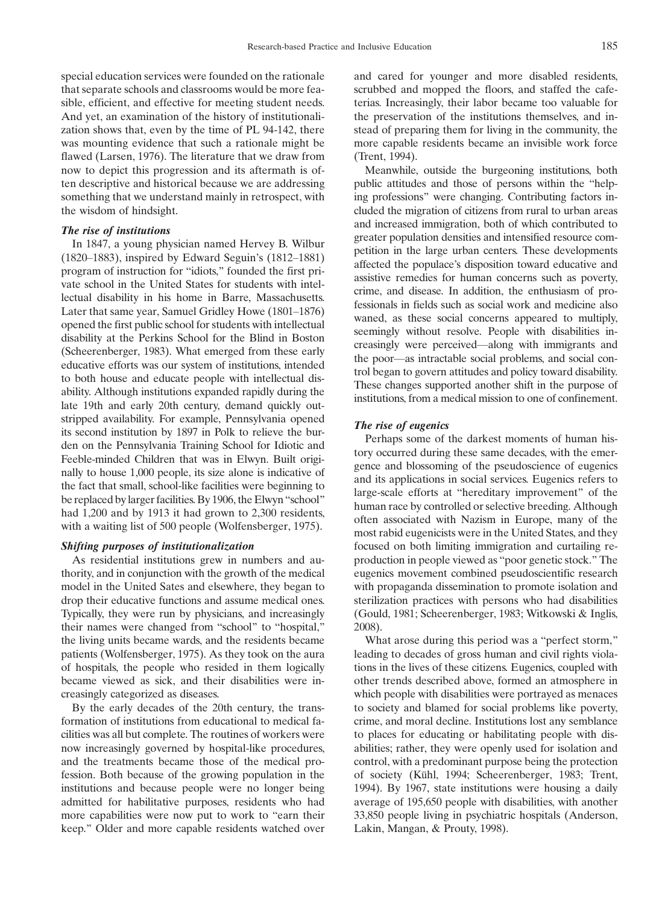special education services were founded on the rationale that separate schools and classrooms would be more feasible, efficient, and effective for meeting student needs. And yet, an examination of the history of institutionalization shows that, even by the time of PL 94-142, there was mounting evidence that such a rationale might be flawed (Larsen, 1976). The literature that we draw from now to depict this progression and its aftermath is often descriptive and historical because we are addressing something that we understand mainly in retrospect, with the wisdom of hindsight.

#### The rise of institutions

In 1847, a young physician named Hervey B. Wilbur (1820–1883), inspired by Edward Seguin's (1812–1881) program of instruction for "idiots," founded the first private school in the United States for students with intellectual disability in his home in Barre. Massachusetts. Later that same year, Samuel Gridley Howe (1801-1876) opened the first public school for students with intellectual disability at the Perkins School for the Blind in Boston (Scheerenberger, 1983). What emerged from these early educative efforts was our system of institutions, intended to both house and educate people with intellectual disability. Although institutions expanded rapidly during the late 19th and early 20th century, demand quickly outstripped availability. For example, Pennsylvania opened its second institution by 1897 in Polk to relieve the burden on the Pennsylvania Training School for Idiotic and Feeble-minded Children that was in Elwyn. Built originally to house 1,000 people, its size alone is indicative of the fact that small, school-like facilities were beginning to be replaced by larger facilities. By 1906, the Elwyn "school" had 1,200 and by 1913 it had grown to 2,300 residents, with a waiting list of 500 people (Wolfensberger, 1975).

## Shifting purposes of institutionalization

As residential institutions grew in numbers and authority, and in conjunction with the growth of the medical model in the United Sates and elsewhere, they began to drop their educative functions and assume medical ones. Typically, they were run by physicians, and increasingly their names were changed from "school" to "hospital," the living units became wards, and the residents became patients (Wolfensberger, 1975). As they took on the aura of hospitals, the people who resided in them logically became viewed as sick, and their disabilities were increasingly categorized as diseases.

By the early decades of the 20th century, the transformation of institutions from educational to medical facilities was all but complete. The routines of workers were now increasingly governed by hospital-like procedures, and the treatments became those of the medical profession. Both because of the growing population in the institutions and because people were no longer being admitted for habilitative purposes, residents who had more capabilities were now put to work to "earn their keep." Older and more capable residents watched over and cared for younger and more disabled residents, scrubbed and mopped the floors, and staffed the cafeterias. Increasingly, their labor became too valuable for the preservation of the institutions themselves, and instead of preparing them for living in the community, the more capable residents became an invisible work force (Trent, 1994).

Meanwhile, outside the burgeoning institutions, both public attitudes and those of persons within the "helping professions" were changing. Contributing factors included the migration of citizens from rural to urban areas and increased immigration, both of which contributed to greater population densities and intensified resource competition in the large urban centers. These developments affected the populace's disposition toward educative and assistive remedies for human concerns such as poverty, crime, and disease. In addition, the enthusiasm of professionals in fields such as social work and medicine also waned, as these social concerns appeared to multiply, seemingly without resolve. People with disabilities increasingly were perceived—along with immigrants and the poor—as intractable social problems, and social control began to govern attitudes and policy toward disability. These changes supported another shift in the purpose of institutions, from a medical mission to one of confinement.

#### The rise of eugenics

Perhaps some of the darkest moments of human history occurred during these same decades, with the emergence and blossoming of the pseudoscience of eugenics and its applications in social services. Eugenics refers to large-scale efforts at "hereditary improvement" of the human race by controlled or selective breeding. Although often associated with Nazism in Europe, many of the most rabid eugenicists were in the United States, and they focused on both limiting immigration and curtailing reproduction in people viewed as "poor genetic stock." The eugenics movement combined pseudoscientific research with propaganda dissemination to promote isolation and sterilization practices with persons who had disabilities (Gould, 1981; Scheerenberger, 1983; Witkowski & Inglis, 2008).

What arose during this period was a "perfect storm," leading to decades of gross human and civil rights violations in the lives of these citizens. Eugenics, coupled with other trends described above, formed an atmosphere in which people with disabilities were portrayed as menaces to society and blamed for social problems like poverty, crime, and moral decline. Institutions lost any semblance to places for educating or habilitating people with disabilities; rather, they were openly used for isolation and control, with a predominant purpose being the protection of society (Kühl, 1994; Scheerenberger, 1983; Trent, 1994). By 1967, state institutions were housing a daily average of 195,650 people with disabilities, with another 33,850 people living in psychiatric hospitals (Anderson, Lakin, Mangan, & Prouty, 1998).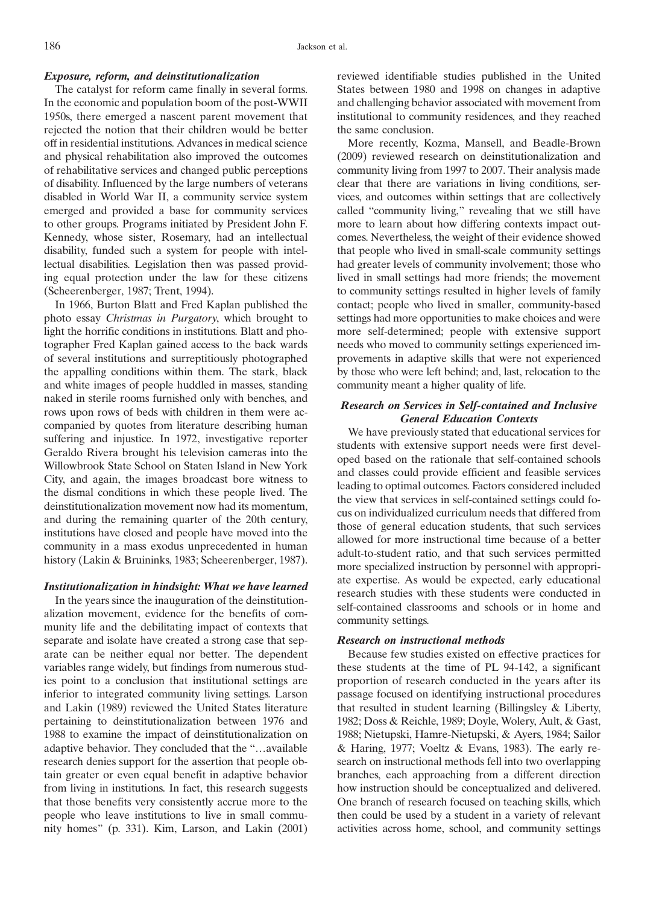## Exposure, reform, and deinstitutionalization

The catalyst for reform came finally in several forms. In the economic and population boom of the post-WWII 1950s, there emerged a nascent parent movement that rejected the notion that their children would be better off in residential institutions. Advances in medical science and physical rehabilitation also improved the outcomes of rehabilitative services and changed public perceptions of disability. Influenced by the large numbers of veterans disabled in World War II, a community service system emerged and provided a base for community services to other groups. Programs initiated by President John F. Kennedy, whose sister, Rosemary, had an intellectual disability, funded such a system for people with intellectual disabilities. Legislation then was passed providing equal protection under the law for these citizens (Scheerenberger, 1987; Trent, 1994).

In 1966, Burton Blatt and Fred Kaplan published the photo essay Christmas in Purgatory, which brought to light the horrific conditions in institutions. Blatt and photographer Fred Kaplan gained access to the back wards of several institutions and surreptitiously photographed the appalling conditions within them. The stark, black and white images of people huddled in masses, standing naked in sterile rooms furnished only with benches, and rows upon rows of beds with children in them were accompanied by quotes from literature describing human suffering and injustice. In 1972, investigative reporter Geraldo Rivera brought his television cameras into the Willowbrook State School on Staten Island in New York City, and again, the images broadcast bore witness to the dismal conditions in which these people lived. The deinstitutionalization movement now had its momentum, and during the remaining quarter of the 20th century, institutions have closed and people have moved into the community in a mass exodus unprecedented in human history (Lakin & Bruininks, 1983; Scheerenberger, 1987).

#### Institutionalization in hindsight: What we have learned

In the years since the inauguration of the deinstitutionalization movement, evidence for the benefits of community life and the debilitating impact of contexts that separate and isolate have created a strong case that separate can be neither equal nor better. The dependent variables range widely, but findings from numerous studies point to a conclusion that institutional settings are inferior to integrated community living settings. Larson and Lakin (1989) reviewed the United States literature pertaining to deinstitutionalization between 1976 and 1988 to examine the impact of deinstitutionalization on adaptive behavior. They concluded that the "...available research denies support for the assertion that people obtain greater or even equal benefit in adaptive behavior from living in institutions. In fact, this research suggests that those benefits very consistently accrue more to the people who leave institutions to live in small community homes" (p. 331). Kim, Larson, and Lakin (2001)

reviewed identifiable studies published in the United States between 1980 and 1998 on changes in adaptive and challenging behavior associated with movement from institutional to community residences, and they reached the same conclusion.

More recently, Kozma, Mansell, and Beadle-Brown (2009) reviewed research on deinstitutionalization and community living from 1997 to 2007. Their analysis made clear that there are variations in living conditions, services, and outcomes within settings that are collectively called "community living," revealing that we still have more to learn about how differing contexts impact outcomes. Nevertheless, the weight of their evidence showed that people who lived in small-scale community settings had greater levels of community involvement; those who lived in small settings had more friends; the movement to community settings resulted in higher levels of family contact; people who lived in smaller, community-based settings had more opportunities to make choices and were more self-determined; people with extensive support needs who moved to community settings experienced improvements in adaptive skills that were not experienced by those who were left behind; and, last, relocation to the community meant a higher quality of life.

## Research on Services in Self-contained and Inclusive **General Education Contexts**

We have previously stated that educational services for students with extensive support needs were first developed based on the rationale that self-contained schools and classes could provide efficient and feasible services leading to optimal outcomes. Factors considered included the view that services in self-contained settings could focus on individualized curriculum needs that differed from those of general education students, that such services allowed for more instructional time because of a better adult-to-student ratio, and that such services permitted more specialized instruction by personnel with appropriate expertise. As would be expected, early educational research studies with these students were conducted in self-contained classrooms and schools or in home and community settings.

#### **Research on instructional methods**

Because few studies existed on effective practices for these students at the time of PL 94-142, a significant proportion of research conducted in the years after its passage focused on identifying instructional procedures that resulted in student learning (Billingsley  $\&$  Liberty, 1982; Doss & Reichle, 1989; Doyle, Wolery, Ault, & Gast, 1988; Nietupski, Hamre-Nietupski, & Ayers, 1984; Sailor & Haring, 1977; Voeltz & Evans, 1983). The early research on instructional methods fell into two overlapping branches, each approaching from a different direction how instruction should be conceptualized and delivered. One branch of research focused on teaching skills, which then could be used by a student in a variety of relevant activities across home, school, and community settings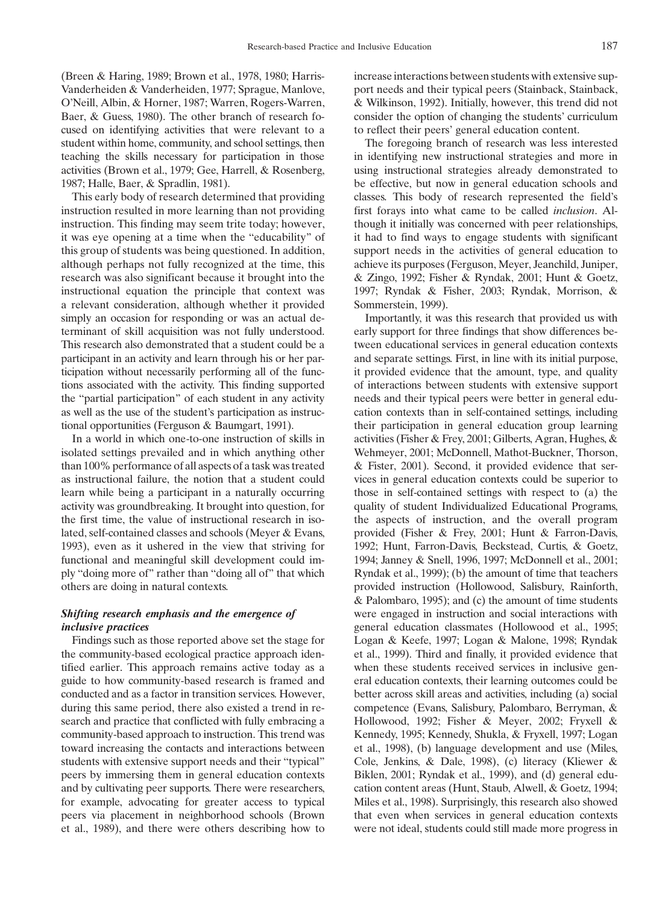(Breen & Haring, 1989; Brown et al., 1978, 1980; Harris-Vanderheiden & Vanderheiden, 1977; Sprague, Manlove, O'Neill, Albin, & Horner, 1987; Warren, Rogers-Warren, Baer, & Guess, 1980). The other branch of research focused on identifying activities that were relevant to a student within home, community, and school settings, then teaching the skills necessary for participation in those activities (Brown et al., 1979; Gee, Harrell, & Rosenberg, 1987; Halle, Baer, & Spradlin, 1981).

This early body of research determined that providing instruction resulted in more learning than not providing instruction. This finding may seem trite today; however, it was eye opening at a time when the "educability" of this group of students was being questioned. In addition, although perhaps not fully recognized at the time, this research was also significant because it brought into the instructional equation the principle that context was a relevant consideration, although whether it provided simply an occasion for responding or was an actual determinant of skill acquisition was not fully understood. This research also demonstrated that a student could be a participant in an activity and learn through his or her participation without necessarily performing all of the functions associated with the activity. This finding supported the "partial participation" of each student in any activity as well as the use of the student's participation as instructional opportunities (Ferguson & Baumgart, 1991).

In a world in which one-to-one instruction of skills in isolated settings prevailed and in which anything other than 100% performance of all aspects of a task was treated as instructional failure, the notion that a student could learn while being a participant in a naturally occurring activity was groundbreaking. It brought into question, for the first time, the value of instructional research in isolated, self-contained classes and schools (Meyer & Evans, 1993), even as it ushered in the view that striving for functional and meaningful skill development could imply "doing more of" rather than "doing all of" that which others are doing in natural contexts.

## Shifting research emphasis and the emergence of inclusive practices

Findings such as those reported above set the stage for the community-based ecological practice approach identified earlier. This approach remains active today as a guide to how community-based research is framed and conducted and as a factor in transition services. However, during this same period, there also existed a trend in research and practice that conflicted with fully embracing a community-based approach to instruction. This trend was toward increasing the contacts and interactions between students with extensive support needs and their "typical" peers by immersing them in general education contexts and by cultivating peer supports. There were researchers, for example, advocating for greater access to typical peers via placement in neighborhood schools (Brown et al., 1989), and there were others describing how to increase interactions between students with extensive support needs and their typical peers (Stainback, Stainback, & Wilkinson, 1992). Initially, however, this trend did not consider the option of changing the students' curriculum to reflect their peers' general education content.

The foregoing branch of research was less interested in identifying new instructional strategies and more in using instructional strategies already demonstrated to be effective, but now in general education schools and classes. This body of research represented the field's first forays into what came to be called *inclusion*. Although it initially was concerned with peer relationships, it had to find ways to engage students with significant support needs in the activities of general education to achieve its purposes (Ferguson, Meyer, Jeanchild, Juniper, & Zingo, 1992; Fisher & Ryndak, 2001; Hunt & Goetz, 1997; Ryndak & Fisher, 2003; Ryndak, Morrison, & Sommerstein, 1999).

Importantly, it was this research that provided us with early support for three findings that show differences between educational services in general education contexts and separate settings. First, in line with its initial purpose, it provided evidence that the amount, type, and quality of interactions between students with extensive support needs and their typical peers were better in general education contexts than in self-contained settings, including their participation in general education group learning activities (Fisher & Frey, 2001; Gilberts, Agran, Hughes, & Wehmeyer, 2001; McDonnell, Mathot-Buckner, Thorson, & Fister, 2001). Second, it provided evidence that services in general education contexts could be superior to those in self-contained settings with respect to (a) the quality of student Individualized Educational Programs, the aspects of instruction, and the overall program provided (Fisher & Frey, 2001; Hunt & Farron-Davis, 1992; Hunt, Farron-Davis, Beckstead, Curtis, & Goetz, 1994; Janney & Snell, 1996, 1997; McDonnell et al., 2001; Ryndak et al., 1999); (b) the amount of time that teachers provided instruction (Hollowood, Salisbury, Rainforth, & Palombaro, 1995); and (c) the amount of time students were engaged in instruction and social interactions with general education classmates (Hollowood et al., 1995; Logan & Keefe, 1997; Logan & Malone, 1998; Ryndak et al., 1999). Third and finally, it provided evidence that when these students received services in inclusive general education contexts, their learning outcomes could be better across skill areas and activities, including (a) social competence (Evans, Salisbury, Palombaro, Berryman, & Hollowood, 1992; Fisher & Meyer, 2002; Fryxell & Kennedy, 1995; Kennedy, Shukla, & Fryxell, 1997; Logan et al., 1998), (b) language development and use (Miles, Cole, Jenkins, & Dale, 1998), (c) literacy (Kliewer & Biklen, 2001; Ryndak et al., 1999), and (d) general education content areas (Hunt, Staub, Alwell, & Goetz, 1994; Miles et al., 1998). Surprisingly, this research also showed that even when services in general education contexts were not ideal, students could still made more progress in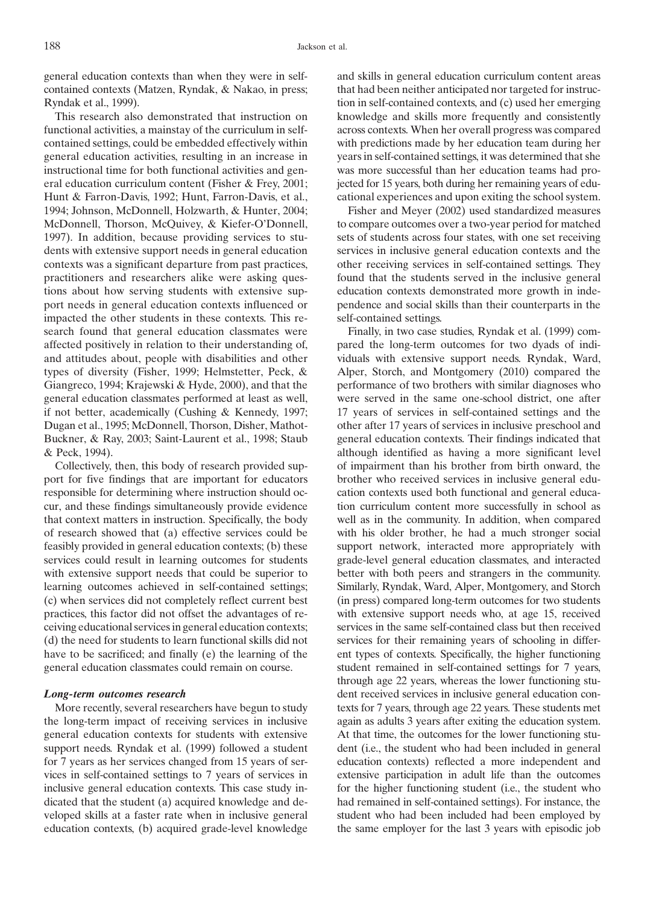general education contexts than when they were in selfcontained contexts (Matzen, Ryndak, & Nakao, in press; Ryndak et al., 1999).

This research also demonstrated that instruction on functional activities, a mainstay of the curriculum in selfcontained settings, could be embedded effectively within general education activities, resulting in an increase in instructional time for both functional activities and general education curriculum content (Fisher & Frey, 2001; Hunt & Farron-Davis, 1992; Hunt, Farron-Davis, et al., 1994; Johnson, McDonnell, Holzwarth, & Hunter, 2004; McDonnell, Thorson, McQuivey, & Kiefer-O'Donnell, 1997). In addition, because providing services to students with extensive support needs in general education contexts was a significant departure from past practices, practitioners and researchers alike were asking questions about how serving students with extensive support needs in general education contexts influenced or impacted the other students in these contexts. This research found that general education classmates were affected positively in relation to their understanding of, and attitudes about, people with disabilities and other types of diversity (Fisher, 1999; Helmstetter, Peck, & Giangreco, 1994; Krajewski & Hyde, 2000), and that the general education classmates performed at least as well, if not better, academically (Cushing & Kennedy, 1997; Dugan et al., 1995; McDonnell, Thorson, Disher, Mathot-Buckner, & Ray, 2003; Saint-Laurent et al., 1998; Staub & Peck. 1994).

Collectively, then, this body of research provided support for five findings that are important for educators responsible for determining where instruction should occur, and these findings simultaneously provide evidence that context matters in instruction. Specifically, the body of research showed that (a) effective services could be feasibly provided in general education contexts; (b) these services could result in learning outcomes for students with extensive support needs that could be superior to learning outcomes achieved in self-contained settings; (c) when services did not completely reflect current best practices, this factor did not offset the advantages of receiving educational services in general education contexts; (d) the need for students to learn functional skills did not have to be sacrificed; and finally (e) the learning of the general education classmates could remain on course.

## Long-term outcomes research

More recently, several researchers have begun to study the long-term impact of receiving services in inclusive general education contexts for students with extensive support needs. Ryndak et al. (1999) followed a student for 7 years as her services changed from 15 years of services in self-contained settings to 7 years of services in inclusive general education contexts. This case study indicated that the student (a) acquired knowledge and developed skills at a faster rate when in inclusive general education contexts, (b) acquired grade-level knowledge

and skills in general education curriculum content areas that had been neither anticipated nor targeted for instruction in self-contained contexts, and (c) used her emerging knowledge and skills more frequently and consistently across contexts. When her overall progress was compared with predictions made by her education team during her years in self-contained settings, it was determined that she was more successful than her education teams had projected for 15 years, both during her remaining years of educational experiences and upon exiting the school system.

Fisher and Meyer (2002) used standardized measures to compare outcomes over a two-year period for matched sets of students across four states, with one set receiving services in inclusive general education contexts and the other receiving services in self-contained settings. They found that the students served in the inclusive general education contexts demonstrated more growth in independence and social skills than their counterparts in the self-contained settings.

Finally, in two case studies, Ryndak et al. (1999) compared the long-term outcomes for two dyads of individuals with extensive support needs. Ryndak, Ward, Alper, Storch, and Montgomery (2010) compared the performance of two brothers with similar diagnoses who were served in the same one-school district, one after 17 years of services in self-contained settings and the other after 17 years of services in inclusive preschool and general education contexts. Their findings indicated that although identified as having a more significant level of impairment than his brother from birth onward, the brother who received services in inclusive general education contexts used both functional and general education curriculum content more successfully in school as well as in the community. In addition, when compared with his older brother, he had a much stronger social support network, interacted more appropriately with grade-level general education classmates, and interacted better with both peers and strangers in the community. Similarly, Ryndak, Ward, Alper, Montgomery, and Storch (in press) compared long-term outcomes for two students with extensive support needs who, at age 15, received services in the same self-contained class but then received services for their remaining years of schooling in different types of contexts. Specifically, the higher functioning student remained in self-contained settings for 7 years, through age 22 years, whereas the lower functioning student received services in inclusive general education contexts for 7 years, through age 22 years. These students met again as adults 3 years after exiting the education system. At that time, the outcomes for the lower functioning student (i.e., the student who had been included in general education contexts) reflected a more independent and extensive participation in adult life than the outcomes for the higher functioning student (i.e., the student who had remained in self-contained settings). For instance, the student who had been included had been employed by the same employer for the last 3 years with episodic job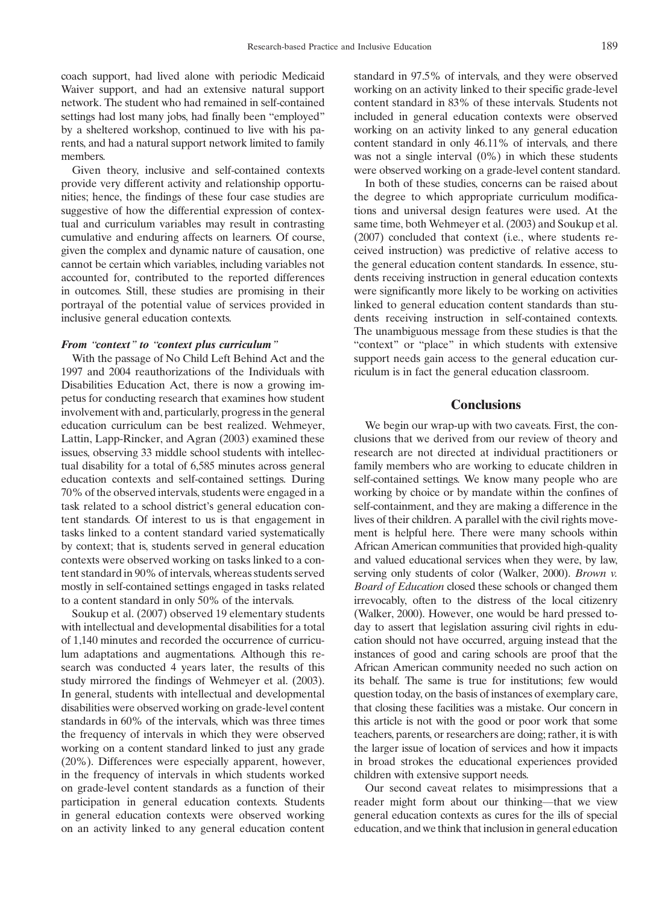coach support, had lived alone with periodic Medicaid Waiver support, and had an extensive natural support network. The student who had remained in self-contained settings had lost many jobs, had finally been "employed" by a sheltered workshop, continued to live with his parents, and had a natural support network limited to family members.

Given theory, inclusive and self-contained contexts provide very different activity and relationship opportunities; hence, the findings of these four case studies are suggestive of how the differential expression of contextual and curriculum variables may result in contrasting cumulative and enduring affects on learners. Of course, given the complex and dynamic nature of causation, one cannot be certain which variables, including variables not accounted for, contributed to the reported differences in outcomes. Still, these studies are promising in their portrayal of the potential value of services provided in inclusive general education contexts.

## From "context" to "context plus curriculum"

With the passage of No Child Left Behind Act and the 1997 and 2004 reauthorizations of the Individuals with Disabilities Education Act, there is now a growing impetus for conducting research that examines how student involvement with and, particularly, progress in the general education curriculum can be best realized. Wehmeyer, Lattin, Lapp-Rincker, and Agran (2003) examined these issues, observing 33 middle school students with intellectual disability for a total of 6,585 minutes across general education contexts and self-contained settings. During 70% of the observed intervals, students were engaged in a task related to a school district's general education content standards. Of interest to us is that engagement in tasks linked to a content standard varied systematically by context; that is, students served in general education contexts were observed working on tasks linked to a content standard in 90% of intervals, whereas students served mostly in self-contained settings engaged in tasks related to a content standard in only 50% of the intervals.

Soukup et al. (2007) observed 19 elementary students with intellectual and developmental disabilities for a total of 1,140 minutes and recorded the occurrence of curriculum adaptations and augmentations. Although this research was conducted 4 years later, the results of this study mirrored the findings of Wehmeyer et al. (2003). In general, students with intellectual and developmental disabilities were observed working on grade-level content standards in 60% of the intervals, which was three times the frequency of intervals in which they were observed working on a content standard linked to just any grade (20%). Differences were especially apparent, however, in the frequency of intervals in which students worked on grade-level content standards as a function of their participation in general education contexts. Students in general education contexts were observed working on an activity linked to any general education content

standard in 97.5% of intervals, and they were observed working on an activity linked to their specific grade-level content standard in 83% of these intervals. Students not included in general education contexts were observed working on an activity linked to any general education content standard in only 46.11% of intervals, and there was not a single interval  $(0\%)$  in which these students were observed working on a grade-level content standard.

In both of these studies, concerns can be raised about the degree to which appropriate curriculum modifications and universal design features were used. At the same time, both Wehmeyer et al. (2003) and Soukup et al. (2007) concluded that context (i.e., where students received instruction) was predictive of relative access to the general education content standards. In essence, students receiving instruction in general education contexts were significantly more likely to be working on activities linked to general education content standards than students receiving instruction in self-contained contexts. The unambiguous message from these studies is that the "context" or "place" in which students with extensive support needs gain access to the general education curriculum is in fact the general education classroom.

## **Conclusions**

We begin our wrap-up with two caveats. First, the conclusions that we derived from our review of theory and research are not directed at individual practitioners or family members who are working to educate children in self-contained settings. We know many people who are working by choice or by mandate within the confines of self-containment, and they are making a difference in the lives of their children. A parallel with the civil rights movement is helpful here. There were many schools within African American communities that provided high-quality and valued educational services when they were, by law, serving only students of color (Walker, 2000). Brown v. Board of Education closed these schools or changed them irrevocably, often to the distress of the local citizenry (Walker, 2000). However, one would be hard pressed today to assert that legislation assuring civil rights in education should not have occurred, arguing instead that the instances of good and caring schools are proof that the African American community needed no such action on its behalf. The same is true for institutions; few would question today, on the basis of instances of exemplary care, that closing these facilities was a mistake. Our concern in this article is not with the good or poor work that some teachers, parents, or researchers are doing; rather, it is with the larger issue of location of services and how it impacts in broad strokes the educational experiences provided children with extensive support needs.

Our second caveat relates to misimpressions that a reader might form about our thinking—that we view general education contexts as cures for the ills of special education, and we think that inclusion in general education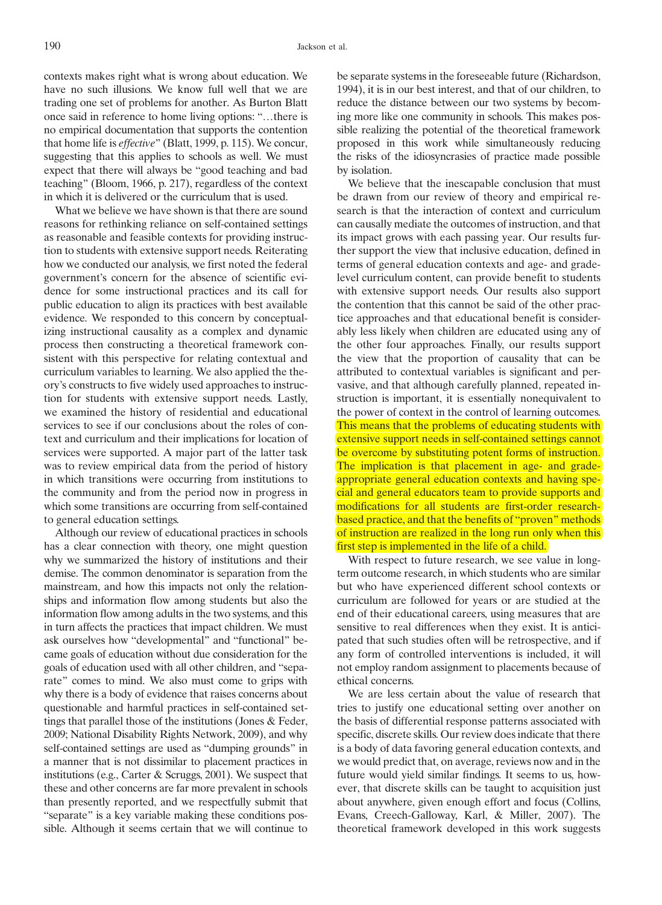contexts makes right what is wrong about education. We have no such illusions. We know full well that we are trading one set of problems for another. As Burton Blatt once said in reference to home living options: "...there is no empirical documentation that supports the contention that home life is effective" (Blatt, 1999, p. 115). We concur, suggesting that this applies to schools as well. We must expect that there will always be "good teaching and bad teaching" (Bloom, 1966, p. 217), regardless of the context in which it is delivered or the curriculum that is used.

What we believe we have shown is that there are sound reasons for rethinking reliance on self-contained settings as reasonable and feasible contexts for providing instruction to students with extensive support needs. Reiterating how we conducted our analysis, we first noted the federal government's concern for the absence of scientific evidence for some instructional practices and its call for public education to align its practices with best available evidence. We responded to this concern by conceptualizing instructional causality as a complex and dynamic process then constructing a theoretical framework consistent with this perspective for relating contextual and curriculum variables to learning. We also applied the theory's constructs to five widely used approaches to instruction for students with extensive support needs. Lastly, we examined the history of residential and educational services to see if our conclusions about the roles of context and curriculum and their implications for location of services were supported. A major part of the latter task was to review empirical data from the period of history in which transitions were occurring from institutions to the community and from the period now in progress in which some transitions are occurring from self-contained to general education settings.

Although our review of educational practices in schools has a clear connection with theory, one might question why we summarized the history of institutions and their demise. The common denominator is separation from the mainstream, and how this impacts not only the relationships and information flow among students but also the information flow among adults in the two systems, and this in turn affects the practices that impact children. We must ask ourselves how "developmental" and "functional" became goals of education without due consideration for the goals of education used with all other children, and "separate" comes to mind. We also must come to grips with why there is a body of evidence that raises concerns about questionable and harmful practices in self-contained settings that parallel those of the institutions (Jones & Feder, 2009; National Disability Rights Network, 2009), and why self-contained settings are used as "dumping grounds" in a manner that is not dissimilar to placement practices in institutions (e.g., Carter & Scruggs, 2001). We suspect that these and other concerns are far more prevalent in schools than presently reported, and we respectfully submit that "separate" is a key variable making these conditions possible. Although it seems certain that we will continue to

be separate systems in the foreseeable future (Richardson, 1994), it is in our best interest, and that of our children, to reduce the distance between our two systems by becoming more like one community in schools. This makes possible realizing the potential of the theoretical framework proposed in this work while simultaneously reducing the risks of the idiosyncrasies of practice made possible by isolation.

We believe that the inescapable conclusion that must be drawn from our review of theory and empirical research is that the interaction of context and curriculum can causally mediate the outcomes of instruction, and that its impact grows with each passing year. Our results further support the view that inclusive education, defined in terms of general education contexts and age- and gradelevel curriculum content, can provide benefit to students with extensive support needs. Our results also support the contention that this cannot be said of the other practice approaches and that educational benefit is considerably less likely when children are educated using any of the other four approaches. Finally, our results support the view that the proportion of causality that can be attributed to contextual variables is significant and pervasive, and that although carefully planned, repeated instruction is important, it is essentially nonequivalent to the power of context in the control of learning outcomes. This means that the problems of educating students with extensive support needs in self-contained settings cannot be overcome by substituting potent forms of instruction. The implication is that placement in age- and gradeappropriate general education contexts and having special and general educators team to provide supports and modifications for all students are first-order researchbased practice, and that the benefits of "proven" methods of instruction are realized in the long run only when this first step is implemented in the life of a child.

With respect to future research, we see value in longterm outcome research, in which students who are similar but who have experienced different school contexts or curriculum are followed for years or are studied at the end of their educational careers, using measures that are sensitive to real differences when they exist. It is anticipated that such studies often will be retrospective, and if any form of controlled interventions is included, it will not employ random assignment to placements because of ethical concerns.

We are less certain about the value of research that tries to justify one educational setting over another on the basis of differential response patterns associated with specific, discrete skills. Our review does indicate that there is a body of data favoring general education contexts, and we would predict that, on average, reviews now and in the future would yield similar findings. It seems to us, however, that discrete skills can be taught to acquisition just about anywhere, given enough effort and focus (Collins, Evans, Creech-Galloway, Karl, & Miller, 2007). The theoretical framework developed in this work suggests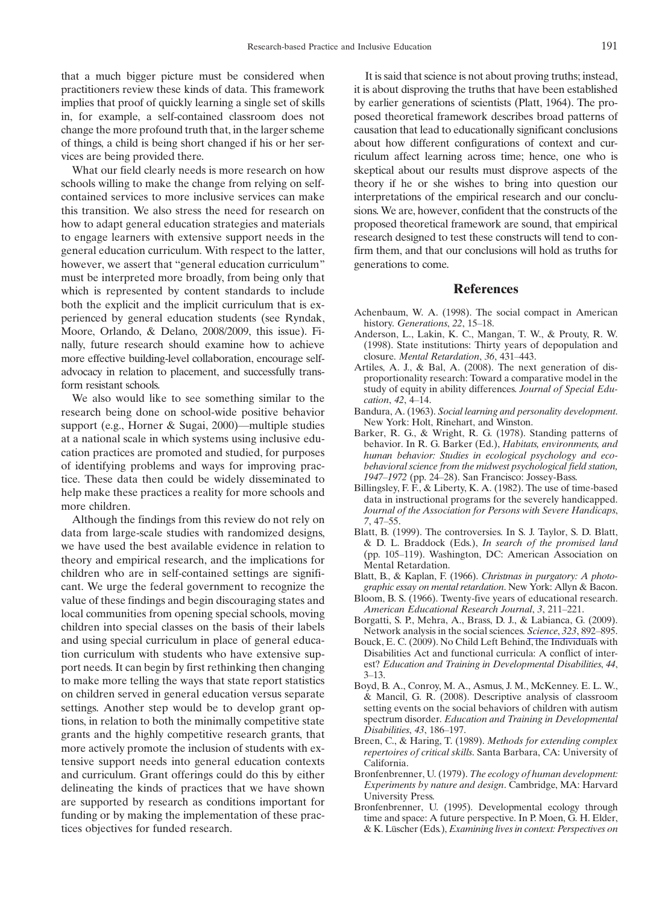that a much bigger picture must be considered when practitioners review these kinds of data. This framework implies that proof of quickly learning a single set of skills in, for example, a self-contained classroom does not change the more profound truth that, in the larger scheme of things, a child is being short changed if his or her services are being provided there.

What our field clearly needs is more research on how schools willing to make the change from relying on selfcontained services to more inclusive services can make this transition. We also stress the need for research on how to adapt general education strategies and materials to engage learners with extensive support needs in the general education curriculum. With respect to the latter, however, we assert that "general education curriculum" must be interpreted more broadly, from being only that which is represented by content standards to include both the explicit and the implicit curriculum that is experienced by general education students (see Ryndak, Moore, Orlando, & Delano, 2008/2009, this issue). Finally, future research should examine how to achieve more effective building-level collaboration, encourage selfadvocacy in relation to placement, and successfully transform resistant schools.

We also would like to see something similar to the research being done on school-wide positive behavior support (e.g., Horner & Sugai, 2000)—multiple studies at a national scale in which systems using inclusive education practices are promoted and studied, for purposes of identifying problems and ways for improving practice. These data then could be widely disseminated to help make these practices a reality for more schools and more children.

Although the findings from this review do not rely on data from large-scale studies with randomized designs, we have used the best available evidence in relation to theory and empirical research, and the implications for children who are in self-contained settings are significant. We urge the federal government to recognize the value of these findings and begin discouraging states and local communities from opening special schools, moving children into special classes on the basis of their labels and using special curriculum in place of general education curriculum with students who have extensive support needs. It can begin by first rethinking then changing to make more telling the ways that state report statistics on children served in general education versus separate settings. Another step would be to develop grant options, in relation to both the minimally competitive state grants and the highly competitive research grants, that more actively promote the inclusion of students with extensive support needs into general education contexts and curriculum. Grant offerings could do this by either delineating the kinds of practices that we have shown are supported by research as conditions important for funding or by making the implementation of these practices objectives for funded research.

It is said that science is not about proving truths; instead, it is about disproving the truths that have been established by earlier generations of scientists (Platt, 1964). The proposed theoretical framework describes broad patterns of causation that lead to educationally significant conclusions about how different configurations of context and curriculum affect learning across time; hence, one who is skeptical about our results must disprove aspects of the theory if he or she wishes to bring into question our interpretations of the empirical research and our conclusions. We are, however, confident that the constructs of the proposed theoretical framework are sound, that empirical research designed to test these constructs will tend to confirm them, and that our conclusions will hold as truths for generations to come.

## **References**

- Achenbaum, W. A. (1998). The social compact in American history. Generations, 22, 15-18.
- Anderson, L., Lakin, K. C., Mangan, T. W., & Prouty, R. W. (1998). State institutions: Thirty years of depopulation and closure. Mental Retardation, 36, 431-443.
- Artiles, A. J., & Bal, A. (2008). The next generation of disproportionality research: Toward a comparative model in the study of equity in ability differences. Journal of Special Education, 42, 4-14.
- Bandura, A. (1963). Social learning and personality development. New York: Holt, Rinehart, and Winston.
- Barker, R. G., & Wright, R. G. (1978). Standing patterns of behavior. In R. G. Barker (Ed.), Habitats, environments, and human behavior: Studies in ecological psychology and ecobehavioral science from the midwest psychological field station, 1947–1972 (pp. 24–28). San Francisco: Jossey-Bass.<br>Billingsley, F. F., & Liberty, K. A. (1982). The use of time-based
- data in instructional programs for the severely handicapped. Journal of the Association for Persons with Severe Handicaps,  $7,47-55.$
- Blatt, B. (1999). The controversies. In S. J. Taylor, S. D. Blatt, & D. L. Braddock (Eds.), In search of the promised land (pp. 105-119). Washington, DC: American Association on Mental Retardation.
- Blatt, B., & Kaplan, F. (1966). Christmas in purgatory: A photographic essay on mental retardation. New York: Allyn & Bacon.
- Bloom, B. S. (1966). Twenty-five years of educational research. American Educational Research Journal, 3, 211-221.
- Borgatti, S. P., Mehra, A., Brass, D. J., & Labianca, G. (2009). Network analysis in the social sciences. Science, 323, 892-895.
- Bouck, E. C. (2009). No Child Left Behind, the Individuals with Disabilities Act and functional curricula: A conflict of interest? Education and Training in Developmental Disabilities, 44,  $3 - 13$ .
- Boyd, B. A., Conroy, M. A., Asmus, J. M., McKenney. E. L. W., & Mancil, G. R. (2008). Descriptive analysis of classroom setting events on the social behaviors of children with autism spectrum disorder. Education and Training in Developmental Disabilities, 43, 186-197.
- Breen, C., & Haring, T. (1989). Methods for extending complex repertoires of critical skills. Santa Barbara, CA: University of California.
- Bronfenbrenner, U. (1979). The ecology of human development: Experiments by nature and design. Cambridge, MA: Harvard University Press.
- Bronfenbrenner, U. (1995). Developmental ecology through time and space: A future perspective. In P. Moen, G. H. Elder, & K. Lüscher (Eds.), Examining lives in context: Perspectives on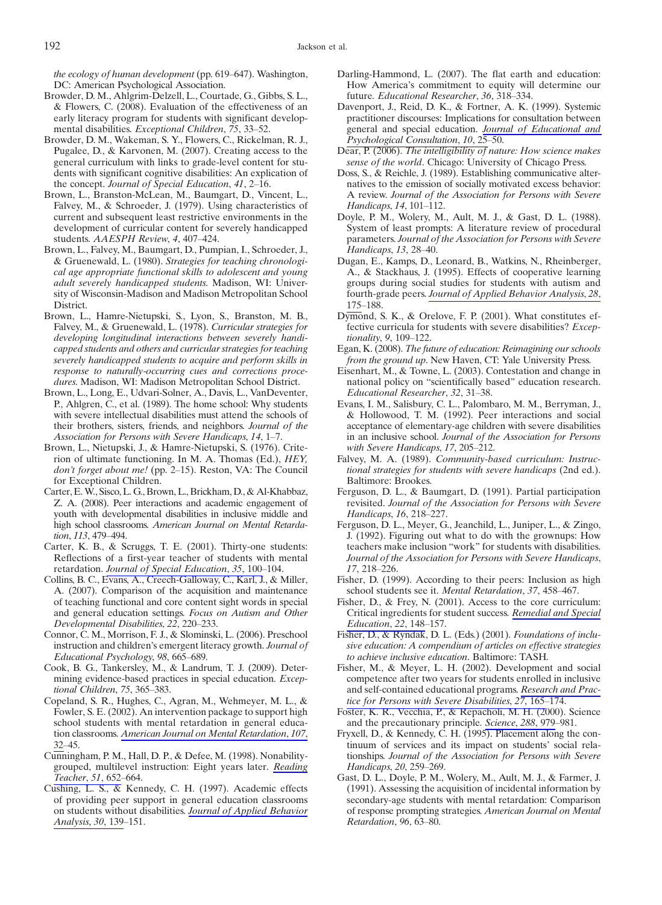the ecology of human development (pp. 619-647). Washington, DC: American Psychological Association.

- Browder, D. M., Ahlgrim-Delzell, L., Courtade, G., Gibbs, S. L., & Flowers, C. (2008). Evaluation of the effectiveness of an early literacy program for students with significant developmental disabilities. Exceptional Children, 75, 33-52.
- Browder, D. M., Wakeman, S. Y., Flowers, C., Rickelman, R. J., Pugalee, D., & Karvonen, M. (2007). Creating access to the general curriculum with links to grade-level content for students with significant cognitive disabilities: An explication of the concept. Journal of Special Education,  $41, 2-16$ .
- Brown, L., Branston-McLean, M., Baumgart, D., Vincent, L., Falvey, M., & Schroeder, J. (1979). Using characteristics of current and subsequent least restrictive environments in the development of curricular content for severely handicapped students. AAESPH Review, 4, 407-424.
- Brown, L., Falvey, M., Baumgart, D., Pumpian, I., Schroeder, J., & Gruenewald, L. (1980). Strategies for teaching chronological age appropriate functional skills to adolescent and young adult severely handicapped students. Madison, WI: University of Wisconsin-Madison and Madison Metropolitan School District.
- Brown, L., Hamre-Nietupski, S., Lyon, S., Branston, M. B., Falvey, M., & Gruenewald, L. (1978). Curricular strategies for developing longitudinal interactions between severely handicapped students and others and curricular strategies for teaching severely handicapped students to acquire and perform skills in response to naturally-occurring cues and corrections procedures. Madison, WI: Madison Metropolitan School District.
- Brown, L., Long, E., Udvari-Solner, A., Davis, L., VanDeventer, P., Ahlgren, C., et al. (1989). The home school: Why students with severe intellectual disabilities must attend the schools of their brothers, sisters, friends, and neighbors. Journal of the Association for Persons with Severe Handicaps, 14, 1-7.
- Brown, L., Nietupski, J., & Hamre-Nietupski, S. (1976). Criterion of ultimate functioning. In M. A. Thomas (Ed.), HEY, don't forget about me! (pp. 2-15). Reston, VA: The Council for Exceptional Children.
- Carter, E. W., Sisco, L. G., Brown, L., Brickham, D., & Al-Khabbaz, Z. A. (2008). Peer interactions and academic engagement of youth with developmental disabilities in inclusive middle and high school classrooms. American Journal on Mental Retardation, 113, 479-494.
- Carter, K. B., & Scruggs, T. E. (2001). Thirty-one students: Reflections of a first-year teacher of students with mental retardation. Journal of Special Education, 35, 100-104.
- Collins, B. C., Evans, A., Creech-Galloway, C., Karl, J., & Miller, A. (2007). Comparison of the acquisition and maintenance of teaching functional and core content sight words in special and general education settings. Focus on Autism and Other Developmental Disabilities, 22, 220-233.
- Connor, C. M., Morrison, F. J., & Slominski, L. (2006). Preschool instruction and children's emergent literacy growth. Journal of Educational Psychology, 98, 665-689.
- Cook, B. G., Tankersley, M., & Landrum, T. J. (2009). Determining evidence-based practices in special education. Exceptional Children, 75, 365-383.
- Copeland, S. R., Hughes, C., Agran, M., Wehmeyer, M. L., & Fowler, S. E. (2002). An intervention package to support high school students with mental retardation in general education classrooms. American Journal on Mental Retardation, 107,  $32 - 45$
- Cunningham, P. M., Hall, D. P., & Defee, M. (1998). Nonabilitygrouped, multilevel instruction: Eight years later. Reading Teacher, 51, 652-664.
- Cushing, L. S., & Kennedy, C. H. (1997). Academic effects of providing peer support in general education classrooms on students without disabilities. Journal of Applied Behavior Analysis, 30, 139-151.
- Darling-Hammond, L. (2007). The flat earth and education: How America's commitment to equity will determine our future. Educational Researcher, 36, 318-334.
- Davenport, J., Reid, D. K., & Fortner, A. K. (1999). Systemic practitioner discourses: Implications for consultation between general and special education. Journal of Educational and Psychological Consultation, 10, 25-50.
- Dear, P. (2006). The intelligibility of nature: How science makes sense of the world. Chicago: University of Chicago Press.
- Doss, S., & Reichle, J. (1989). Establishing communicative alternatives to the emission of socially motivated excess behavior: A review. Journal of the Association for Persons with Severe Handicaps, 14, 101-112.
- Doyle, P. M., Wolery, M., Ault, M. J., & Gast, D. L. (1988). System of least prompts: A literature review of procedural parameters. Journal of the Association for Persons with Severe Handicaps, 13, 28-40.
- Dugan, E., Kamps, D., Leonard, B., Watkins, N., Rheinberger, A., & Stackhaus, J. (1995). Effects of cooperative learning groups during social studies for students with autism and fourth-grade peers. Journal of Applied Behavior Analysis, 28,  $175 - 188.$
- Dymond, S. K., & Orelove, F. P. (2001). What constitutes effective curricula for students with severe disabilities? Exceptionality, 9, 109-122.
- Egan, K. (2008). The future of education: Reimagining our schools from the ground up. New Haven, CT: Yale University Press.
- Eisenhart, M., & Towne, L. (2003). Contestation and change in national policy on "scientifically based" education research. Educational Researcher, 32, 31-38.
- Evans, I. M., Salisbury, C. L., Palombaro, M. M., Berryman, J., & Hollowood, T. M. (1992). Peer interactions and social acceptance of elementary-age children with severe disabilities in an inclusive school. Journal of the Association for Persons with Severe Handicaps, 17, 205-212.
- Falvey, M. A. (1989). Community-based curriculum: Instructional strategies for students with severe handicaps (2nd ed.). Baltimore: Brookes.
- Ferguson, D. L., & Baumgart, D. (1991). Partial participation revisited. Journal of the Association for Persons with Severe Handicaps, 16, 218-227.
- Ferguson, D. L., Meyer, G., Jeanchild, L., Juniper, L., & Zingo, J. (1992). Figuring out what to do with the grownups: How teachers make inclusion "work" for students with disabilities. Journal of the Association for Persons with Severe Handicaps, 17, 218-226.
- Fisher, D. (1999). According to their peers: Inclusion as high school students see it. Mental Retardation, 37, 458-467.
- Fisher, D., & Frey, N. (2001). Access to the core curriculum: Critical ingredients for student success. Remedial and Special Education, 22, 148-157.
- Fisher, D., & Ryndak, D. L. (Eds.) (2001). Foundations of inclusive education: A compendium of articles on effective strategies to achieve inclusive education. Baltimore: TASH.
- Fisher, M., & Meyer, L. H. (2002). Development and social competence after two years for students enrolled in inclusive and self-contained educational programs. Research and Practice for Persons with Severe Disabilities, 27, 165–174.
- Foster, K. R., Vecchia, P., & Repacholi, M. H. (2000). Science and the precautionary principle. Science, 288, 979-981.
- Fryxell, D., & Kennedy, C. H. (1995). Placement along the continuum of services and its impact on students' social relationships. Journal of the Association for Persons with Severe Handicaps, 20, 259-269.
- Gast, D. L., Doyle, P. M., Wolery, M., Ault, M. J., & Farmer, J. (1991). Assessing the acquisition of incidental information by secondary-age students with mental retardation: Comparison of response prompting strategies. American Journal on Mental Retardation, 96, 63-80.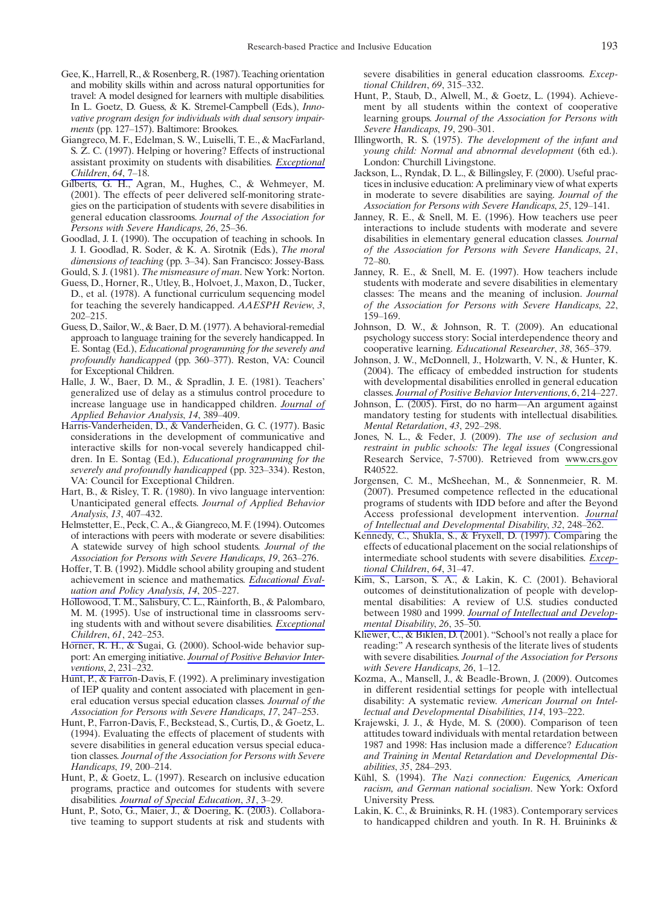- Gee, K., Harrell, R., & Rosenberg, R. (1987). Teaching orientation and mobility skills within and across natural opportunities for travel: A model designed for learners with multiple disabilities. In L. Goetz, D. Guess, & K. Stremel-Campbell (Eds.), Innovative program design for individuals with dual sensory impairments (pp. 127–157). Baltimore: Brookes.
- Giangreco, M. F., Edelman, S. W., Luiselli, T. E., & MacFarland, S. Z. C. (1997). Helping or hovering? Effects of instructional assistant proximity on students with disabilities. Exceptional Children, 64, 7–18.
- Gilberts, G. H., Agran, M., Hughes, C., & Wehmeyer, M. (2001). The effects of peer delivered self-monitoring strategies on the participation of students with severe disabilities in general education classrooms. Journal of the Association for Persons with Severe Handicaps, 26, 25-36.
- Goodlad, J. I. (1990). The occupation of teaching in schools. In J. I. Goodlad, R. Soder, & K. A. Sirotnik (Eds.), The moral dimensions of teaching (pp. 3-34). San Francisco: Jossey-Bass.
- Gould, S. J. (1981). The mismeasure of man. New York: Norton. Guess, D., Horner, R., Utley, B., Holvoet, J., Maxon, D., Tucker,
- D., et al. (1978). A functional curriculum sequencing model for teaching the severely handicapped. AAESPH Review, 3,  $202 - 215$ .
- Guess, D., Sailor, W., & Baer, D. M. (1977). A behavioral-remedial approach to language training for the severely handicapped. In E. Sontag (Ed.), Educational programming for the severely and profoundly handicapped (pp. 360-377). Reston, VA: Council for Exceptional Children.
- Halle, J. W., Baer, D. M., & Spradlin, J. E. (1981). Teachers' generalized use of delay as a stimulus control procedure to increase language use in handicapped children. Journal of Applied Behavior Analysis, 14, 389-409.
- Harris-Vanderheiden, D., & Vanderheiden, G. C. (1977). Basic considerations in the development of communicative and interactive skills for non-vocal severely handicapped children. In E. Sontag (Ed.), Educational programming for the severely and profoundly handicapped (pp. 323-334). Reston, VA: Council for Exceptional Children.
- Hart, B., & Risley, T. R. (1980). In vivo language intervention: Unanticipated general effects. Journal of Applied Behavior Analysis, 13, 407-432.
- Helmstetter, E., Peck, C. A., & Giangreco, M. F. (1994). Outcomes of interactions with peers with moderate or severe disabilities: A statewide survey of high school students. Journal of the Association for Persons with Severe Handicaps, 19, 263-276.
- Hoffer, T. B. (1992). Middle school ability grouping and student achievement in science and mathematics. Educational Evaluation and Policy Analysis, 14, 205-227.
- Hollowood, T. M., Salisbury, C. L., Rainforth, B., & Palombaro, M. M. (1995). Use of instructional time in classrooms serving students with and without severe disabilities. Exceptional Children, 61, 242-253.
- Horner, R. H., & Sugai, G. (2000). School-wide behavior support: An emerging initiative. Journal of Positive Behavior Interventions, 2, 231-232.
- Hunt, P., & Farron-Davis, F. (1992). A preliminary investigation of IEP quality and content associated with placement in general education versus special education classes. Journal of the Association for Persons with Severe Handicaps, 17, 247-253.
- Hunt, P., Farron-Davis, F., Beckstead, S., Curtis, D., & Goetz, L. (1994). Evaluating the effects of placement of students with severe disabilities in general education versus special education classes. Journal of the Association for Persons with Severe Handicaps, 19, 200-214.
- Hunt, P., & Goetz, L. (1997). Research on inclusive education programs, practice and outcomes for students with severe disabilities. Journal of Special Education, 31, 3-29.
- Hunt, P., Soto, G., Maier, J., & Doering, K. (2003). Collaborative teaming to support students at risk and students with

severe disabilities in general education classrooms. Exceptional Children, 69, 315-332.

- Hunt, P., Staub, D., Alwell, M., & Goetz, L. (1994). Achievement by all students within the context of cooperative learning groups. Journal of the Association for Persons with Severe Handicaps, 19, 290-301.
- Illingworth, R. S. (1975). The development of the infant and young child: Normal and abnormal development (6th ed.). London: Churchill Livingstone.
- Jackson, L., Ryndak, D. L., & Billingsley, F. (2000). Useful practices in inclusive education: A preliminary view of what experts in moderate to severe disabilities are saying. Journal of the Association for Persons with Severe Handicaps, 25, 129-141.
- Janney, R. E., & Snell, M. E. (1996). How teachers use peer interactions to include students with moderate and severe disabilities in elementary general education classes. Journal of the Association for Persons with Severe Handicaps, 21,  $72 - 80.$
- Janney, R. E., & Snell, M. E. (1997). How teachers include students with moderate and severe disabilities in elementary classes: The means and the meaning of inclusion. Journal of the Association for Persons with Severe Handicaps, 22, 159-169.
- Johnson, D. W., & Johnson, R. T. (2009). An educational psychology success story: Social interdependence theory and cooperative learning. Educational Researcher, 38, 365-379.
- Johnson, J. W., McDonnell, J., Holzwarth, V. N., & Hunter, K. (2004). The efficacy of embedded instruction for students with developmental disabilities enrolled in general education classes. Journal of Positive Behavior Interventions, 6, 214-227.
- Johnson,  $\overline{L}$ . (2005). First, do no harm—An argument against mandatory testing for students with intellectual disabilities. Mental Retardation, 43, 292-298.
- Jones, N. L., & Feder, J. (2009). The use of seclusion and restraint in public schools: The legal issues (Congressional Research Service, 7-5700). Retrieved from www.crs.gov R40522.
- Jorgensen, C. M., McSheehan, M., & Sonnenmeier, R. M. (2007). Presumed competence reflected in the educational programs of students with IDD before and after the Beyond Access professional development intervention. Journal of Intellectual and Developmental Disability, 32, 248-262.
- Kennedy, C., Shukla, S., & Fryxell, D. (1997). Comparing the effects of educational placement on the social relationships of intermediate school students with severe disabilities. Exceptional Children, 64, 31–47.
- Kim, S., Larson, S. A., & Lakin, K. C. (2001). Behavioral outcomes of deinstitutionalization of people with developmental disabilities: A review of U.S. studies conducted between 1980 and 1999. Journal of Intellectual and Developmental Disability, 26, 35-50.
- Kliewer, C., & Biklen, D. (2001). "School's not really a place for reading:" A research synthesis of the literate lives of students with severe disabilities. Journal of the Association for Persons with Severe Handicaps, 26, 1-12.
- Kozma, A., Mansell, J., & Beadle-Brown, J. (2009). Outcomes in different residential settings for people with intellectual disability: A systematic review. American Journal on Intellectual and Developmental Disabilities, 114, 193-222.
- Krajewski, J. J., & Hyde, M. S. (2000). Comparison of teen attitudes toward individuals with mental retardation between 1987 and 1998: Has inclusion made a difference? Education and Training in Mental Retardation and Developmental Disabilities, 35, 284-293.
- Kühl, S. (1994). The Nazi connection: Eugenics, American racism, and German national socialism. New York: Oxford University Press.
- Lakin, K. C., & Bruininks, R. H. (1983). Contemporary services to handicapped children and youth. In R. H. Bruininks &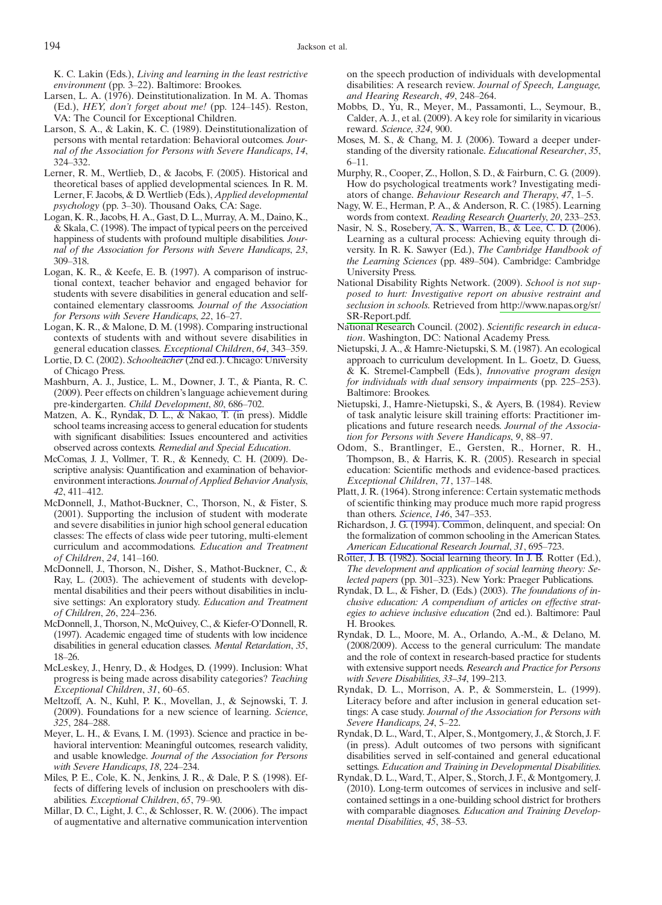K. C. Lakin (Eds.), Living and learning in the least restrictive environment (pp. 3-22). Baltimore: Brookes.

- Larsen, L. A. (1976). Deinstitutionalization. In M. A. Thomas (Ed.), HEY, don't forget about me! (pp. 124-145). Reston, VA: The Council for Exceptional Children.
- Larson, S. A., & Lakin, K. C. (1989). Deinstitutionalization of persons with mental retardation: Behavioral outcomes. Journal of the Association for Persons with Severe Handicaps, 14, 324 - 332
- Lerner, R. M., Wertlieb, D., & Jacobs, F. (2005). Historical and theoretical bases of applied developmental sciences. In R. M. Lerner, F. Jacobs, & D. Wertlieb (Eds.), Applied developmental psychology (pp. 3-30). Thousand Oaks, CA: Sage.
- Logan, K. R., Jacobs, H. A., Gast, D. L., Murray, A. M., Daino, K., & Skala, C. (1998). The impact of typical peers on the perceived happiness of students with profound multiple disabilities. Journal of the Association for Persons with Severe Handicaps, 23, 309-318.
- Logan, K. R., & Keefe, E. B. (1997). A comparison of instructional context, teacher behavior and engaged behavior for students with severe disabilities in general education and selfcontained elementary classrooms. Journal of the Association for Persons with Severe Handicaps, 22, 16-27.
- Logan, K. R., & Malone, D. M. (1998). Comparing instructional contexts of students with and without severe disabilities in general education classes. Exceptional Children, 64, 343-359.
- Lortie, D. C. (2002). Schoolteacher (2nd ed.). Chicago: University of Chicago Press.
- Mashburn, A. J., Justice, L. M., Downer, J. T., & Pianta, R. C. (2009). Peer effects on children's language achievement during pre-kindergarten. Child Development, 80, 686-702.
- Matzen, A. K., Ryndak, D. L., & Nakao, T. (in press). Middle school teams increasing access to general education for students with significant disabilities: Issues encountered and activities observed across contexts. Remedial and Special Education.
- McComas, J. J., Vollmer, T. R., & Kennedy, C. H. (2009). Descriptive analysis: Quantification and examination of behaviorenvironment interactions. Journal of Applied Behavior Analysis, 42, 411-412.
- McDonnell, J., Mathot-Buckner, C., Thorson, N., & Fister, S. (2001). Supporting the inclusion of student with moderate and severe disabilities in junior high school general education classes: The effects of class wide peer tutoring, multi-element curriculum and accommodations. Education and Treatment of Children, 24, 141-160.
- McDonnell, J., Thorson, N., Disher, S., Mathot-Buckner, C., & Ray, L. (2003). The achievement of students with developmental disabilities and their peers without disabilities in inclusive settings: An exploratory study. Education and Treatment of Children, 26, 224-236.
- McDonnell, J., Thorson, N., McQuivey, C., & Kiefer-O'Donnell, R. (1997). Academic engaged time of students with low incidence disabilities in general education classes. Mental Retardation, 35,  $18 - 26.$
- McLeskey, J., Henry, D., & Hodges, D. (1999). Inclusion: What progress is being made across disability categories? Teaching Exceptional Children, 31, 60-65.
- Meltzoff, A. N., Kuhl, P. K., Movellan, J., & Sejnowski, T. J. (2009). Foundations for a new science of learning. Science, 325, 284-288.
- Meyer, L. H., & Evans, I. M. (1993). Science and practice in behavioral intervention: Meaningful outcomes, research validity, and usable knowledge. Journal of the Association for Persons with Severe Handicaps, 18, 224-234.
- Miles, P. E., Cole, K. N., Jenkins, J. R., & Dale, P. S. (1998). Effects of differing levels of inclusion on preschoolers with disabilities. Exceptional Children, 65, 79-90.
- Millar, D. C., Light, J. C., & Schlosser, R. W. (2006). The impact of augmentative and alternative communication intervention

on the speech production of individuals with developmental disabilities: A research review. Journal of Speech, Language, and Hearing Research, 49, 248-264.

- Mobbs, D., Yu, R., Meyer, M., Passamonti, L., Seymour, B., Calder, A. J., et al. (2009). A key role for similarity in vicarious reward. Science, 324, 900.
- Moses, M. S., & Chang, M. J. (2006). Toward a deeper understanding of the diversity rationale. Educational Researcher, 35,  $6 - 11.$
- Murphy, R., Cooper, Z., Hollon, S. D., & Fairburn, C. G. (2009). How do psychological treatments work? Investigating mediators of change. Behaviour Research and Therapy, 47, 1-5.
- Nagy, W. E., Herman, P. A., & Anderson, R. C. (1985). Learning words from context. Reading Research Quarterly, 20, 233-253.
- Nasir, N. S., Rosebery, A. S., Warren, B., & Lee, C. D. (2006). Learning as a cultural process: Achieving equity through diversity. In R. K. Sawyer (Ed.), The Cambridge Handbook of the Learning Sciences (pp. 489–504). Cambridge: Cambridge University Press.
- National Disability Rights Network. (2009). School is not supposed to hurt: Investigative report on abusive restraint and seclusion in schools. Retrieved from http://www.napas.org/sr/ SR-Report.pdf.
- National Research Council. (2002). Scientific research in education. Washington, DC: National Academy Press.
- Nietupski, J. A., & Hamre-Nietupski, S. M. (1987). An ecological approach to curriculum development. In L. Goetz, D. Guess, & K. Stremel-Campbell (Eds.), Innovative program design for individuals with dual sensory impairments (pp. 225–253). Baltimore: Brookes.
- Nietupski, J., Hamre-Nietupski, S., & Ayers, B. (1984). Review of task analytic leisure skill training efforts: Practitioner implications and future research needs. Journal of the Association for Persons with Severe Handicaps, 9, 88-97.
- Odom, S., Brantlinger, E., Gersten, R., Horner, R. H., Thompson, B., & Harris, K. R. (2005). Research in special education: Scientific methods and evidence-based practices. Exceptional Children, 71, 137-148.
- Platt, J. R. (1964). Strong inference: Certain systematic methods of scientific thinking may produce much more rapid progress than others. Science, 146, 347-353.
- Richardson, J. G. (1994). Common, delinquent, and special: On the formalization of common schooling in the American States. American Educational Research Journal, 31, 695-723.
- Rotter, J. B. (1982). Social learning theory. In J. B. Rotter (Ed.), The development and application of social learning theory: Selected papers (pp. 301-323). New York: Praeger Publications.
- Ryndak, D. L., & Fisher, D. (Eds.) (2003). The foundations of inclusive education: A compendium of articles on effective strategies to achieve inclusive education (2nd ed.). Baltimore: Paul H. Brookes.
- Ryndak, D. L., Moore, M. A., Orlando, A.-M., & Delano, M. (2008/2009). Access to the general curriculum: The mandate and the role of context in research-based practice for students with extensive support needs. Research and Practice for Persons with Severe Disabilities, 33-34, 199-213.
- Ryndak, D. L., Morrison, A. P., & Sommerstein, L. (1999). Literacy before and after inclusion in general education settings: A case study. Journal of the Association for Persons with Severe Handicaps, 24, 5-22.
- Ryndak, D. L., Ward, T., Alper, S., Montgomery, J., & Storch, J. F. (in press). Adult outcomes of two persons with significant disabilities served in self-contained and general educational settings. Education and Training in Developmental Disabilities.
- Ryndak, D. L., Ward, T., Alper, S., Storch, J. F., & Montgomery, J. (2010). Long-term outcomes of services in inclusive and selfcontained settings in a one-building school district for brothers with comparable diagnoses. Education and Training Developmental Disabilities, 45, 38-53.